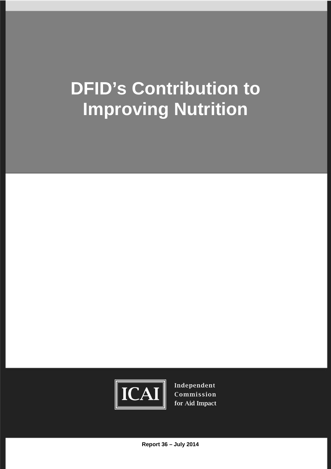# **DFID's Contribution to Improving Nutrition**



Independent Commission for Aid Impact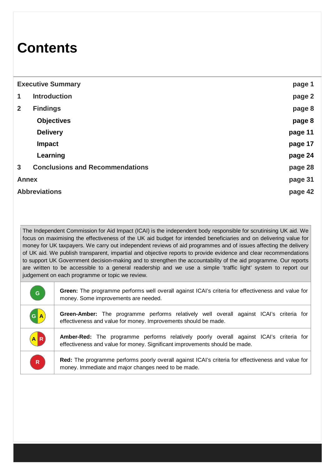## **Contents**

| <b>Executive Summary</b> |                                        | page 1  |
|--------------------------|----------------------------------------|---------|
| 1                        | <b>Introduction</b>                    | page 2  |
| $\overline{2}$           | <b>Findings</b>                        | page 8  |
|                          | <b>Objectives</b>                      | page 8  |
|                          | <b>Delivery</b>                        | page 11 |
|                          | <b>Impact</b>                          | page 17 |
|                          | Learning                               | page 24 |
| $\mathbf{3}$             | <b>Conclusions and Recommendations</b> | page 28 |
| <b>Annex</b>             |                                        | page 31 |
| <b>Abbreviations</b>     |                                        | page 42 |

The Independent Commission for Aid Impact (ICAI) is the independent body responsible for scrutinising UK aid. We focus on maximising the effectiveness of the UK aid budget for intended beneficiaries and on delivering value for money for UK taxpayers. We carry out independent reviews of aid programmes and of issues affecting the delivery of UK aid. We publish transparent, impartial and objective reports to provide evidence and clear recommendations to support UK Government decision-making and to strengthen the accountability of the aid programme. Our reports are written to be accessible to a general readership and we use a simple 'traffic light' system to report our judgement on each programme or topic we review.

| G            | Green: The programme performs well overall against ICAI's criteria for effectiveness and value for<br>money. Some improvements are needed.                                    |  |
|--------------|-------------------------------------------------------------------------------------------------------------------------------------------------------------------------------|--|
| GA           | Green-Amber: The programme performs relatively well overall against ICAI's criteria for<br>effectiveness and value for money. Improvements should be made.                    |  |
| AR           | <b>Amber-Red:</b> The programme performs relatively poorly overall against ICAI's criteria for<br>effectiveness and value for money. Significant improvements should be made. |  |
| $\mathsf{R}$ | Red: The programme performs poorly overall against ICAI's criteria for effectiveness and value for<br>money. Immediate and major changes need to be made.                     |  |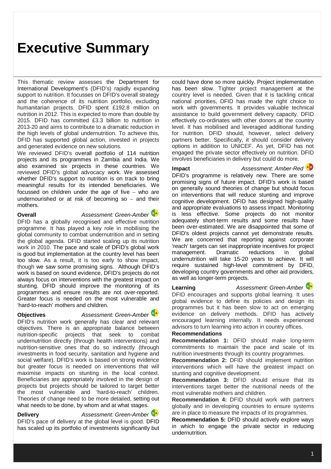### **Executive Summary**

This thematic review assesses the Department for International Development's (DFID's) rapidly expanding support to nutrition. It focusses on DFID's overall strategy and the coherence of its nutrition portfolio, excluding humanitarian projects. DFID spent £192.8 million on nutrition in 2012. This is expected to more than double by 2015. DFID has committed £3.3 billion to nutrition in 2013-20 and aims to contribute to a dramatic reduction in the high levels of global undernutrition. To achieve this, DFID has supported global action, invested in projects and generated evidence on new solutions.

We reviewed DFID's overall portfolio of 114 nutrition projects and its programmes in Zambia and India. We also examined six projects in these countries. We reviewed DFID's global advocacy work. We assessed whether DFID's support to nutrition is on track to bring meaningful results for its intended beneficiaries. We focussed on children under the age of five  $-$  who are undernourished or at risk of becoming so  $-$  and their mothers.

**Overall** *Assessment: Green-Amber*

DFID has a globally recognised and effective nutrition programme. It has played a key role in mobilising the global community to combat undernutrition and in setting the global agenda. DFID started scaling up its nutrition work in 2010. The pace and scale of DFID's global work is good but implementation at the country level has been too slow. As a result, it is too early to show impact, though we saw some promising signs. Although DFID's work is based on sound evidence, DFID's projects do not always focus on interventions with the greatest impact on stunting. DFID should improve the monitoring of its programmes and ensure results are not over-reported. Greater focus is needed on the most vulnerable and 'hard-to-reach' mothers and children.

### **Objectives** *Assessment: Green-Amber*



DFID's nutrition work generally has clear and relevant objectives. There is an appropriate balance between nutrition-specific projects that seek to combat undernutrition directly (through health interventions) and nutrition-sensitive ones that do so indirectly (through investments in food security, sanitation and hygiene and social welfare). DFID's work is based on strong evidence but greater focus is needed on interventions that will maximise impacts on stunting in the local context. Beneficiaries are appropriately involved in the design of projects but projects should be tailored to target better the most vulnerable and 'hard-to-reach' children. Theories of change need to be more detailed, setting out what needs to be done, by whom and at what stages.

**Delivery** *Assessment: Green-Amber* DFID's pace of delivery at the global level is good. DFID has scaled up its portfolio of investments significantly but could have done so more quickly. Project implementation has been slow. Tighter project management at the country level is needed. Given that it is tackling critical national priorities, DFID has made the right choice to work with governments. It provides valuable technical assistance to build government delivery capacity. DFID effectively co-ordinates with other donors at the country level. It has mobilised and leveraged additional funding for nutrition. DFID should, however, select delivery partners better. Specifically, it should consider delivery options in addition to UNICEF. As yet, DFID has not engaged the private sector effectively on nutrition. DFID involves beneficiaries in delivery but could do more.

**Impact** *Assessment: Amber-Red*

DFID's programme is relatively new. There are some promising signs of future impact. DFID's work is based on generally sound theories of change but should focus on interventions that will reduce stunting and improve cognitive development. DFID has designed high-quality and appropriate evaluations to assess impact. Monitoring is less effective. Some projects do not monitor adequately short-term results and some results have been over-estimated. We are disappointed that some of DFID's oldest projects cannot yet demonstrate results. We are concerned that reporting against corporate 'reach' targets can set inappropriate incentives for project management. Dramatic reductions in global undernutrition will take 15-20 years to achieve. It will require sustained high-level commitment by DFID, developing country governments and other aid providers, as well as longer-term projects.

**Learning** *Assessment: Green-Amber*

DFID encourages and supports global learning. It uses global evidence to define its policies and design its programmes but it has been slow to act on emerging evidence on delivery methods. DFID has actively encouraged learning internally. It needs experienced advisors to turn learning into action in country offices.

### **Recommendations**

**Recommendation 1:** DFID should make long-term commitments to maintain the pace and scale of its nutrition investments through its country programmes.

**Recommendation 2:** DFID should implement nutrition interventions which will have the greatest impact on stunting and cognitive development.

**Recommendation 3:** DFID should ensure that its interventions target better the nutritional needs of the most vulnerable mothers and children.

**Recommendation 4:** DFID should work with partners globally and in developing countries to ensure systems are in place to measure the impacts of its programmes.

**Recommendation 5:** DFID should actively explore ways in which to engage the private sector in reducing undernutrition.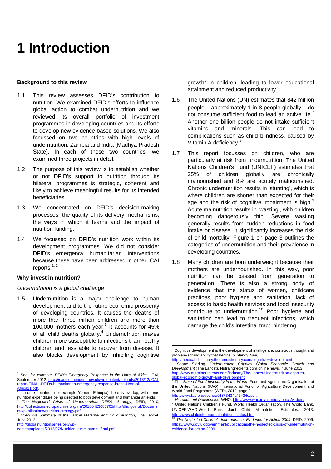#### **Background to this review**

- 1.1 This review assesses DFID's contribution to nutrition. We examined DFID's efforts to influence global action to combat undernutrition and we reviewed its overall portfolio of investment programmes in developing countries and its efforts to develop new evidence-based solutions. We also focussed on two countries with high levels of undernutrition: Zambia and India (Madhya Pradesh State). In each of these two countries, we examined three projects in detail.
- 1.2 The purpose of this review is to establish whether or not DFID's support to nutrition through its bilateral programmes is strategic, coherent and likely to achieve meaningful results for its intended beneficiaries.
- 1.3 We concentrated on DFID's decision-making processes, the quality of its delivery mechanisms, the ways in which it learns and the impact of nutrition funding.
- 1.4 We focussed on DFID's nutrition work within its development programmes. We did not consider DFID's emergency humanitarian interventions because these have been addressed in other ICAI reports.<sup>1, 2</sup>

#### **Why invest in nutrition?**

#### *Undernutrition is a global challenge*

1.5 Undernutrition is a major challenge to human development and to the future economic prosperity of developing countries. It causes the deaths of more than three million children and more than 100,000 mothers each year. 3 It accounts for 45% of all child deaths globally.<sup>4</sup> Undernutrition makes children more susceptible to infections than healthy children and less able to recover from disease. It also blocks development by inhibiting cognitive

- 1.6 The United Nations (UN) estimates that 842 million people  $-$  approximately 1 in 8 people globally  $-$  do not consume sufficient food to lead an active life. Another one billion people do not intake sufficient vitamins and minerals. This can lead to complications such as child blindness, caused by Vitamin A deficiency.<sup>8</sup>
- 1.7 This report focusses on children, who are particularly at risk from undernutrition. The United Nations Children's Fund (UNICEF) estimates that 25% of children globally are chronically malnourished and 8% are acutely malnourished. Chronic undernutrition results in 'stunting', which is where children are shorter than expected for their age and the risk of cognitive impairment is high. $^9$ Acute malnutrition results in 'wasting', with children becoming dangerously thin. Severe wasting generally results from sudden reductions in food intake or disease. It significantly increases the risk of child mortality. Figure 1 on page 3 outlines the categories of undernutrition and their prevalence in developing countries.
- 1.8 Many children are born underweight because their mothers are undernourished. In this way, poor nutrition can be passed from generation to generation. There is also a strong body of evidence that the status of women, childcare practices, poor hygiene and sanitation, lack of access to basic health services and food insecurity contribute to undernutrition.<sup>10</sup> Poor hygiene and sanitation can lead to frequent infections, which damage the child's intestinal tract, hindering

-

2

 1 See, for example, *DFID's Emergency Response in the Horn of Africa*, ICAI, September 2012, http://icai.independent.gov.uk/wp-content/uploads/2013/12/ICAIreport-FINAL-DFIDs-humanitarian-emergency-response-in-the-Horn-of-

Africa11.pdf<br><sup>2</sup> In asme a In some countries (for example Yemen, Ethiopia) there is overlap, with some nutrition expenditure being directed to both development and humanitarian ends.<br><sup>3</sup> The Maglested Cricia of Underputrition: DEID's Strategy, DEID, 2010

*The Neglected Crisis of Undernutrition: DFID's Strategy,* DFID, 2010, http://collections.europarchive.org/tna/20100423085705/http:/dfid.gov.uk/Docume nts/publications/nutrition-strategy.pdf.<br>4 Executive Summary of the Lapost

*Executive Summary of the Lancet Maternal and Child Nutrition*, The Lancet, June 2013,

http://globalnutritionseries.org/wpcontent/uploads/2013/07/Nutrition\_exec\_summ\_final.pdf.

growth<sup>5</sup> in children, leading to lower educational attainment and reduced productivity.<sup>6</sup>

<sup>&</sup>lt;sup>5</sup> Cognitive development is the development of intelligence, conscious thought and problem-solving ability that begins in infancy. See,

ttionary.thefreedictionary.com/cognitionary.thefreedictionary.com http://medical-

Shane Starling*, Undernutrition Cripples Global Economic Growth and Development* (The Lancet), Nutraingredients.com online news, 7 June 2013, http://www.nutraingredients.com/Industry/The-Lancet-Undernutrition-cripples-

global-economic-growth-and-development.<br>The State of Food Incogurity in the World The *State of Food Insecurity in the World*, Food and Agriculture Organisation of the United Nations (FAO), International Fund for Agriculture Development and World Food Programme (WFP), 2013, page 8, http://www.fao.org/docrep/018/i3434e/i3434e.pdf

<sup>8</sup> *Micronutrient Deficiencies*, WHO, http://www.who.int/nutrition/topics/vad/en/.

<sup>9</sup> United Nations Children's Fund, World Health Organisation, The World Bank, UNICEF-WHO-World Bank Joint Child Malnutrition Estimates, 2013, http://www.childinfo.org/malnutrition\_status.html.

<sup>10</sup> *The Neglected Crisis of Undernutrition, Evidence for Action 2009*, DFID, 2009, https://www.gov.uk/government/publications/the-neglected-crisis-of-undernutritionevidence-for-action-2009.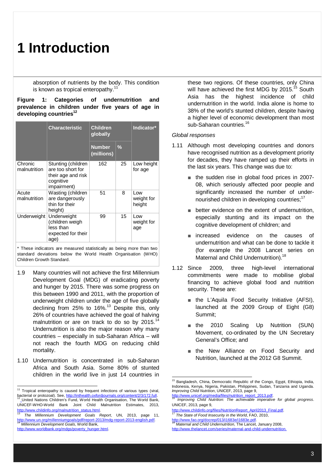absorption of nutrients by the body. This condition is known as tropical enteropathy.<sup>11</sup>

### **Figure 1: Categories of undernutrition and prevalence in children under five years of age in developing countries<sup>12</sup>**

|                         | <b>Characteristic</b>                                                                     | <b>Children</b><br>globally |               | Indicator*                  |
|-------------------------|-------------------------------------------------------------------------------------------|-----------------------------|---------------|-----------------------------|
|                         |                                                                                           | <b>Number</b><br>(millions) | $\frac{0}{2}$ |                             |
| Chronic<br>malnutrition | Stunting (children<br>are too short for<br>their age and risk<br>cognitive<br>impairment) | 162                         | 25            | Low height<br>for age       |
| Acute<br>malnutrition   | Wasting (children<br>are dangerously<br>thin for their<br>height)                         | 51                          | 8             | Low<br>weight for<br>height |
| Underweight             | Underweight<br>(children weigh<br>less than<br>expected for their<br>age)                 | 99                          | 15            | Low<br>weight for<br>age    |

\* These indicators are measured statistically as being more than two standard deviations below the World Health Organisation (WHO) Children Growth Standard.

- 1.9 Many countries will not achieve the first Millennium Development Goal (MDG) of eradicating poverty and hunger by 2015. There was some progress on this between 1990 and 2011, with the proportion of underweight children under the age of five globally declining from 25% to 16%.<sup>13</sup> Despite this, only 26% of countries have achieved the goal of halving malnutrition or are on track to do so by 2015.<sup>14</sup> Undernutrition is also the major reason why many countries – especially in sub-Saharan Africa – will not reach the fourth MDG on reducing child mortality.
- 1.10 Undernutrition is concentrated in sub-Saharan Africa and South Asia. Some 80% of stunted children in the world live in just 14 countries in

-

these two regions. Of these countries, only China will have achieved the first MDG by 2015.<sup>15</sup> South Asia has the highest incidence of child undernutrition in the world. India alone is home to 38% of the world's stunted children, despite having a higher level of economic development than most sub-Saharan countries.<sup>16</sup>

### *Global responses*

- 1.11 Although most developing countries and donors have recognised nutrition as a development priority for decades, they have ramped up their efforts in the last six years. This change was due to:
	- the sudden rise in global food prices in 2007-08, which seriously affected poor people and significantly increased the number of undernourished children in developing countries;<sup>17</sup>
	- better evidence on the extent of undernutrition, especially stunting and its impact on the cognitive development of children; and
	- increased evidence on the causes of undernutrition and what can be done to tackle it (for example the 2008 Lancet series on Maternal and Child Undernutrition).<sup>18</sup>
- 1.12 Since 2009, three high-level international commitments were made to mobilise global financing to achieve global food and nutrition security. These are:
	- the L'Aquila Food Security Initiative (AFSI), launched at the 2009 Group of Eight (G8) Summit;
	- the 2010 Scaling Up Nutrition (SUN) Movement, co-ordinated by the UN Secretary General's Office; and
	- the New Alliance on Food Security and Nutrition, launched at the 2012 G8 Summit.

<sup>17</sup> *The State of Food Insecurity in the World*, FAO, 2010,

l

http://www.fao.org/docrep/013/i1683e/i1683e.pdf. <sup>18</sup> *Maternal and Child Undernutrition*, The Lancet, January 2008, http://www.thelancet.com/series/maternal-and-child-undernutrition.

 $11$  Tropical enteropathy is caused by frequent infections of various types (viral, bacterial or protozoal). See, http://inthealth.oxfordjournals.org/content/2/3/172.full. United Nations Children's Fund, World Health Organisation, The World Bank, UNICEF-WHO-World Bank Joint Child Malnutrition Estimates, 2013, http://www.childinfo.org/malnutrition\_status.html.

<sup>13</sup> *The Millennium Development Goals Report*, UN, 2013, page 11, http://www.un.org/millenniumgoals/pdf/report-2013/mdg-report-2013-english.pdf. <sup>14</sup> *Millennium Development Goals*, World Bank, http://www.worldbank.org/mdgs/poverty\_hunger.html.

<sup>&</sup>lt;sup>15</sup> Bangladesh, China, Democratic Republic of the Congo, Egypt, Ethiopia, India, Indonesia, Kenya, Nigeria, Pakistan, Philippines, Sudan, Tanzania and Uganda. *Improving Child Nutrition*, UNICEF, 2013, page 9,

http://www.unicef.org/media/files/nutrition\_report\_2013.pdf. <sup>16</sup> *Improving Child Nutrition: The achievable imperative for global progress*.

UNICEF, 2013, page 9, http://www.childinfo.org/files/NutritionReport\_April2013\_Final.pdf.

<sup>3</sup>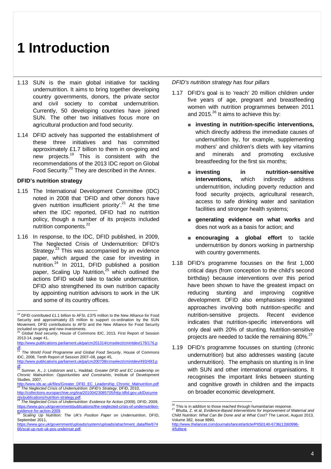- 1.13 SUN is the main global initiative for tackling undernutrition. It aims to bring together developing country governments, donors, the private sector and civil society to combat undernutrition. Currently, 50 developing countries have joined SUN. The other two initiatives focus more on agricultural production and food security.
- 1.14 DFID actively has supported the establishment of these three initiatives and has committed approximately £1.7 billion to them in on-going and new projects. <sup>19</sup> This is consistent with the recommendations of the 2013 IDC report on Global Food Security.<sup>20</sup> They are described in the Annex.

### **DFID's nutrition strategy**

- 1.15 The International Development Committee (IDC) noted in 2008 that 'DFID and other donors have given nutrition insufficient priority'.<sup>21</sup> At the time when the IDC reported, DFID had no nutrition policy, though a number of its projects included nutrition components.<sup>22</sup>
- 1.16 In response, to the IDC, DFID published, in 2009, The Neglected Crisis of Undernutrition: DFID's Strategy. $23$  This was accompanied by an evidence paper, which argued the case for investing in nutrition. $24$  In 2011, DFID published a position paper, Scaling Up Nutrition,<sup>25</sup> which outlined the actions DFID would take to tackle undernutrition. DFID also strengthened its own nutrition capacity by appointing nutrition advisors to work in the UK and some of its country offices.

*DFID's nutrition strategy has four pillars*

- 1.17 DFID's goal is to 'reach' 20 million children under five years of age, pregnant and breastfeeding women with nutrition programmes between 2011 and 2015. $^{26}$  It aims to achieve this by:
	- **investing in nutrition-specific interventions**, which directly address the immediate causes of undernutrition by, for example, supplementing mothers' and children's diets with key vitamins and minerals and promoting exclusive breastfeeding for the first six months;
	- **investing** in the nutrition-sensitive **interventions,** which indirectly address undernutrition, including poverty reduction and food security projects, agricultural research, access to safe drinking water and sanitation facilities and stronger health systems;
	- **generating evidence on what works** and does not work as a basis for action; and
	- **encouraging a global effort** to tackle undernutrition by donors working in partnership with country governments.
- 1.18 DFID's programme focusses on the first 1,000 critical days (from conception to the child's second birthday) because interventions over this period have been shown to have the greatest impact on reducing stunting and improving cognitive development. DFID also emphasises integrated approaches involving both nutrition-specific and nutrition-sensitive projects. Recent evidence indicates that nutrition-specific interventions will only deal with 20% of stunting. Nutrition-sensitive projects are needed to tackle the remaining 80%.<sup>27</sup>
- 1.19 DFID's programme focusses on stunting (chronic undernutrition) but also addresses wasting (acute undernutrition). The emphasis on stunting is in line with SUN and other international organisations. It recognises the important links between stunting and cognitive growth in children and the impacts on broader economic development.

<sup>-</sup> $19$  DFID contributed £1.1 billion to AFSI, £375 million to the New Alliance for Food Security and approximately £5 million to support co-ordination by the SUN Movement. DFID contributions to AFSI and the New Alliance for Food Security included on-going and new investments.

<sup>20</sup> *Global food security*, House of Commons IDC, 2013, First Report of Session 2013-14, page 41, http://www.publications.parliament.uk/pa/cm201314/cmselect/cmintdev/176/176.p

df. <sup>21</sup> *The World Food Programme and Global Food Security*, House of Commons

IDC, 2008, Tenth Report of Session 2007–08, page 45, http://www.publications.parliament.uk/pa/cm200708/cmselect/cmintdev/493/493.p

df. <sup>22</sup> Sumner, A., J. Lindstrom and L. Haddad, *Greater DFID and EC Leadership on Chronic Malnutrition: Opportunities and Constraints*, Institute of Development Studies, 2007,

http://www.ids.ac.uk/files/Greater\_DFID\_EC\_Leadership\_Chronic\_Malnutrition.pdf <sup>23</sup> *The Neglected Crisis of Undernutrition: DFID's Strategy,* DFID, 2010,

http://collections.europarchive.org/tna/20100423085705/http:/dfid.gov.uk/Docume nts/publications/nutrition-strategy.pdf

<sup>24</sup> *The Neglected Crisis of Undernutrition: Evidence for Action (2009)*, DFID, 2009, https://www.gov.uk/government/publications/the-neglected-crisis-of-undernutritionevidence-for-action-2009.

<sup>25</sup> *Scaling Up Nutrition: The UK's Position Paper on Undernutrition*, DFID, September 2011,

https://www.gov.uk/government/uploads/system/uploads/attachment\_data/file/674 66/scal-up-nutr-uk-pos-undernutr.pdf.

 $\overline{a}$  $\frac{26}{10}$  This is in addition to those reached through humanitarian response.

<sup>27</sup> Bhutta, Z. et al, *Evidence-Based Interventions for Improvement of Maternal and Child Nutrition: What Can Be Done and at What Cost?* The Lancet, August 2013, Volume 382, Issue 9890,

http://www.thelancet.com/journals/lancet/article/PIIS0140-6736(13)60996- 4/fulltext.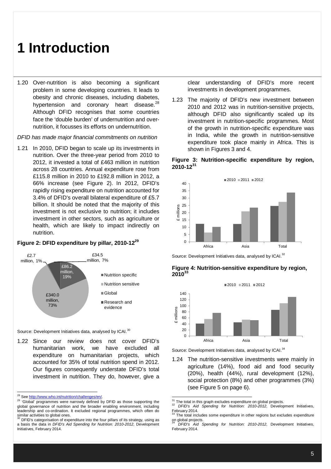1.20 Over-nutrition is also becoming a significant problem in some developing countries. It leads to obesity and chronic diseases, including diabetes, hypertension and coronary heart disease.<sup>28</sup> Although DFID recognises that some countries face the 'double burden' of undernutrition and overnutrition, it focusses its efforts on undernutrition.

*DFID has made major financial commitments on nutrition*

1.21 In 2010, DFID began to scale up its investments in nutrition. Over the three-year period from 2010 to 2012, it invested a total of £463 million in nutrition across 28 countries. Annual expenditure rose from £115.8 million in 2010 to £192.8 million in 2012, a 66% increase (see Figure 2). In 2012, DFID's rapidly rising expenditure on nutrition accounted for 3.4% of DFID's overall bilateral expenditure of £5.7 billion. It should be noted that the majority of this investment is not exclusive to nutrition; it includes investment in other sectors, such as agriculture or health, which are likely to impact indirectly on nutrition.

#### £86.2 million, 19% £340.0 million, 73% £2.7 million, 1%  $634.5$ million, 7% ■Nutrition specific Nutrition sensitive Global Research and evidence

### **Figure 2: DFID expenditure by pillar, 2010-12<sup>29</sup>**

Source: Development Initiatives data, analysed by ICAI.<sup>30</sup>

1.22 Since our review does not cover DFID's humanitarian work, we have excluded all expenditure on humanitarian projects, which accounted for 35% of total nutrition spend in 2012. Our figures consequently understate DFID's total investment in nutrition. They do, however, give a clear understanding of DFID's more recent investments in development programmes.

1.23 The majority of DFID's new investment between 2010 and 2012 was in nutrition-sensitive projects, although DFID also significantly scaled up its investment in nutrition-specific programmes. Most of the growth in nutrition-specific expenditure was in India, while the growth in nutrition-sensitive expenditure took place mainly in Africa. This is shown in Figures 3 and 4.

### **Figure 3: Nutrition-specific expenditure by region, 2010-12<sup>31</sup>**



Source: Development Initiatives data, analysed by ICAI.<sup>32</sup>





Source: Development Initiatives data, analysed by ICAI.<sup>34</sup>

1.24 The nutrition-sensitive investments were mainly in agriculture (14%), food aid and food security (20%), health (44%), rural development (12%), social protection (8%) and other programmes (3%) (see Figure 5 on page 6).

<sup>-</sup><sup>28</sup> See http://www.who.int/nutrition/challenges/en/.

<sup>&</sup>lt;sup>29</sup> 'Global' programmes were narrowly defined by DFID as those supporting the global governance of nutrition and the broader enabling environment, including leadership and co-ordination. It excluded regional programmes, which often do similar activities to global ones.<br> $30\overline{D}CD$ 's actorational original state

DFID's categorisation of expenditure into the four pillars of its strategy, using as a basis the data in *DFID's Aid Spending for Nutrition: 2010-2012*, Development Initiatives, February 2014.

 $\overline{a}$  $\frac{31}{1}$  The total in this graph excludes expenditure on global projects.

<sup>32</sup> *DFID's Aid Spending for Nutrition: 2010-2012*, Development Initiatives, February 2014.

The total includes some expenditure in other regions but excludes expenditure on global projects. <sup>34</sup> *DFID's Aid Spending for Nutrition: 2010-2012*, Development Initiatives,

February 2014.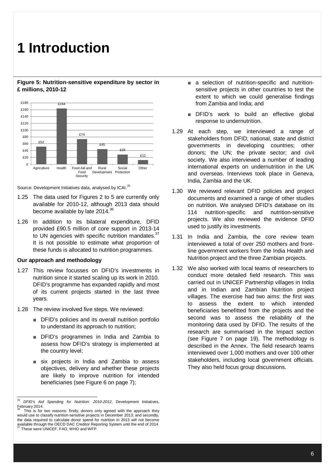#### **Figure 5: Nutrition-sensitive expenditure by sector in £ millions, 2010-12**



Source: Development Initiatives data, analysed by ICAI.<sup>35</sup>

- 1.25 The data used for Figures 2 to 5 are currently only available for 2010-12, although 2013 data should become available by late 2014.<sup>36</sup>
- 1.26 In addition to its bilateral expenditure, DFID provided £90.5 million of core support in 2013-14 to UN agencies with specific nutrition mandates.<sup>37</sup> It is not possible to estimate what proportion of these funds is allocated to nutrition programmes.

### **Our approach and methodology**

- 1.27 This review focusses on DFID's investments in nutrition since it started scaling up its work in 2010. DFID's programme has expanded rapidly and most of its current projects started in the last three years.
- 1.28 The review involved five steps. We reviewed:
	- DFID's policies and its overall nutrition portfolio to understand its approach to nutrition;
	- DFID's programmes in India and Zambia to assess how DFID's strategy is implemented at the country level;
	- six projects in India and Zambia to assess objectives, delivery and whether these projects are likely to improve nutrition for intended beneficiaries (see Figure 6 on page 7);
- a selection of nutrition-specific and nutritionsensitive projects in other countries to test the extent to which we could generalise findings from Zambia and India; and
- DFID's work to build an effective global response to undernutrition.
- 1.29 At each step, we interviewed a range of stakeholders from DFID; national, state and district governments in developing countries; other donors; the UN; the private sector; and civil society. We also interviewed a number of leading international experts on undernutrition in the UK and overseas. Interviews took place in Geneva, India, Zambia and the UK.
- 1.30 We reviewed relevant DFID policies and project documents and examined a range of other studies on nutrition. We analysed DFID's database on its 114 nutrition-specific and nutrition-sensitive projects. We also reviewed the evidence DFID used to justify its investments.
- 1.31 In India and Zambia, the core review team interviewed a total of over 250 mothers and frontline government workers from the India Health and Nutrition project and the three Zambian projects.
- 1.32 We also worked with local teams of researchers to conduct more detailed field research. This was carried out in UNICEF Partnership villages in India and in Indian and Zambian Nutrition project villages. The exercise had two aims: the first was to assess the extent to which intended beneficiaries benefitted from the projects and the second was to assess the reliability of the monitoring data used by DFID. The results of the research are summarised in the Impact section (see Figure 7 on page 19). The methodology is described in the Annex. The field research teams interviewed over 1,000 mothers and over 100 other stakeholders, including local government officials. They also held focus group discussions.

<sup>35</sup> <sup>35</sup> *DFID's Aid Spending for Nutrition: 2010-2012*, Development Initiatives, February 2014.<br><sup>36</sup> Thie is for

This is for two reasons: firstly, donors only agreed with the approach they would use to classify nutrition-sensitive projects in December 2013; and secondly, the data required to calculate donor spend for nutrition in 2013 will not become available through the OECD DAC Creditor Reporting System until the end of 2014<br><sup>37</sup> These was UNIOFF FAO DAC Creditor Reporting System until the end of 2014 <sup>37</sup> These were UNICEF, FAO, WHO and WFP.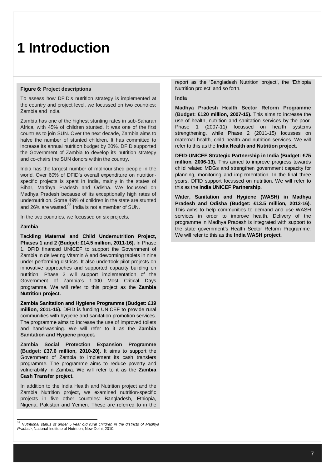#### **Figure 6: Project descriptions**

To assess how DFID's nutrition strategy is implemented at the country and project level, we focussed on two countries: Zambia and India.

Zambia has one of the highest stunting rates in sub-Saharan Africa, with 45% of children stunted. It was one of the first countries to join SUN. Over the next decade, Zambia aims to halve the number of stunted children. It has committed to increase its annual nutrition budget by 20%. DFID supported the Government of Zambia to develop its nutrition strategy and co-chairs the SUN donors within the country.

India has the largest number of malnourished people in the world. Over 60% of DFID's overall expenditure on nutritionspecific projects is spent in India, mainly in the states of Bihar, Madhya Pradesh and Odisha. We focussed on Madhya Pradesh because of its exceptionally high rates of undernutrition. Some 49% of children in the state are stunted and 26% are wasted.<sup>38</sup> India is not a member of SUN.

In the two countries, we focussed on six projects.

#### **Zambia**

**Tackling Maternal and Child Undernutrition Project, Phases 1 and 2 (Budget: £14.5 million, 2011-16).** In Phase 1, DFID financed UNICEF to support the Government of Zambia in delivering Vitamin A and deworming tablets in nine under-performing districts. It also undertook pilot projects on innovative approaches and supported capacity building on nutrition. Phase 2 will support implementation of the Government of Zambia's 1,000 Most Critical Days programme. We will refer to this project as the **Zambia Nutrition project.**

**Zambia Sanitation and Hygiene Programme (Budget: £19 million, 2011-15).** DFID is funding UNICEF to provide rural communities with hygiene and sanitation promotion services. The programme aims to increase the use of improved toilets and hand-washing. We will refer to it as the **Zambia Sanitation and Hygiene project.**

**Zambia Social Protection Expansion Programme (Budget: £37.6 million, 2010-20).** It aims to support the Government of Zambia to implement its cash transfers programme. The programme aims to reduce poverty and vulnerability in Zambia. We will refer to it as the **Zambia Cash Transfer project.** 

In addition to the India Health and Nutrition project and the Zambia Nutrition project, we examined nutrition-specific projects in five other countries: Bangladesh, Ethiopia, Nigeria, Pakistan and Yemen. These are referred to in the report as the 'Bangladesh Nutrition project', the 'Ethiopia Nutrition project' and so forth.

#### **India**

**Madhya Pradesh Health Sector Reform Programme (Budget: £120 million, 2007-15).** This aims to increase the use of health, nutrition and sanitation services by the poor. Phase 1 (2007-11) focussed on health systems strengthening, while Phase 2 (2011-15) focusses on maternal health, child health and nutrition services. We will refer to this as the **India Health and Nutrition project.**

**DFID-UNICEF Strategic Partnership in India (Budget: £75 million, 2006-13).** This aimed to improve progress towards child related MDGs and strengthen government capacity for planning, monitoring and implementation. In the final three years, DFID support focussed on nutrition. We will refer to this as the **India UNICEF Partnership.**

**Water, Sanitation and Hygiene (WASH) in Madhya Pradesh and Odisha (Budget: £13.5 million, 2012-16).** This aims to help communities to demand and use WASH services in order to improve health. Delivery of the programme in Madhya Pradesh is integrated with support to the state government's Health Sector Reform Programme. We will refer to this as the **India WASH project.**

 <sup>38</sup> *Nutritional status of under 5 year old rural children in the districts of Madhya Pradesh*, National Institute of Nutrition, New Delhi, 2010.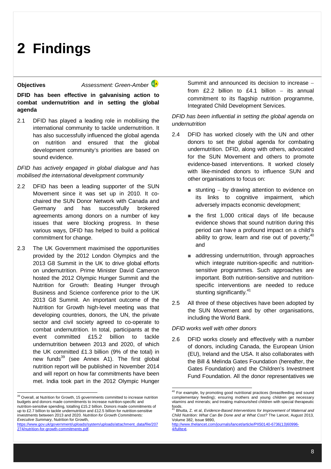**Objectives** *Assessment: Green-Amber*

**DFID has been effective in galvanising action to combat undernutrition and in setting the global agenda**

2.1 DFID has played a leading role in mobilising the international community to tackle undernutrition. It has also successfully influenced the global agenda on nutrition and ensured that the global development community's priorities are based on sound evidence.

*DFID has actively engaged in global dialogue and has mobilised the international development community*

- 2.2 DFID has been a leading supporter of the SUN Movement since it was set up in 2010. It cochaired the SUN Donor Network with Canada and Germany and has successfully brokered agreements among donors on a number of key issues that were blocking progress. In these various ways, DFID has helped to build a political commitment for change.
- 2.3 The UK Government maximised the opportunities provided by the 2012 London Olympics and the 2013 G8 Summit in the UK to drive global efforts on undernutrition. Prime Minister David Cameron hosted the 2012 Olympic Hunger Summit and the Nutrition for Growth: Beating Hunger through Business and Science conference prior to the UK 2013 G8 Summit. An important outcome of the Nutrition for Growth high-level meeting was that developing countries, donors, the UN, the private sector and civil society agreed to co-operate to combat undernutrition. In total, participants at the event committed £15.2 billion to tackle undernutrition between 2013 and 2020, of which the UK committed £1.3 billion (9% of the total) in new funds<sup>39</sup> (see Annex A1). The first global nutrition report will be published in November 2014 and will report on how far commitments have been met. India took part in the 2012 Olympic Hunger

<sup>39</sup> Overall, at Nutrition for Growth, 15 governments committed to increase nutrition budgets and donors made commitments to increase nutrition-specific and nutrition-sensitive spending, totalling £15.2 billion. Donors made commitments of up to £2.7 billion to tackle undernutrition and £12.5 billion for nutrition-sensitive investments between 2013 and 2020. *Nutrition for Growth Commitments: Executive Summary,* Nutrition for Growth,

 $\overline{a}$ 

Summit and announced its decision to increase from  $f2.2$  billion to  $f4.1$  billion – its annual commitment to its flagship nutrition programme, Integrated Child Development Services.

### *DFID has been influential in setting the global agenda on undernutrition*

- 2.4 DFID has worked closely with the UN and other donors to set the global agenda for combating undernutrition. DFID, along with others, advocated for the SUN Movement and others to promote evidence-based interventions. It worked closely with like-minded donors to influence SUN and other organisations to focus on:
	- $\blacksquare$  stunting by drawing attention to evidence on its links to cognitive impairment, which adversely impacts economic development;
	- the first 1,000 critical days of life because evidence shows that sound nutrition during this period can have a profound impact on a child's ability to grow, learn and rise out of poverty; $40$ and
	- addressing undernutrition, through approaches which integrate nutrition-specific and nutritionsensitive programmes. Such approaches are important. Both nutrition-sensitive and nutritionspecific interventions are needed to reduce stunting significantly.<sup>41</sup>
- 2.5 All three of these objectives have been adopted by the SUN Movement and by other organisations, including the World Bank.

### *DFID works well with other donors*

-

2.6 DFID works closely and effectively with a number of donors, including Canada, the European Union (EU), Ireland and the USA. It also collaborates with the Bill & Melinda Gates Foundation (hereafter, the Gates Foundation) and the Children's Investment Fund Foundation. All the donor representatives we

https://www.gov.uk/government/uploads/system/uploads/attachment\_data/file/207 274/nutrition-for-growth-commitments.pdf.

<sup>&</sup>lt;sup>40</sup> For example, by promoting good nutritional practices (breastfeeding and sound complementary feeding); ensuring mothers and young children get necessary vitamins and minerals; and treating malnourished children with special therapeutic foods.

<sup>41</sup> Bhutta, Z. et al, *Evidence-Based Interventions for Improvement of Maternal and Child Nutrition: What Can Be Done and at What Cost?* The Lancet, August 2013, Volume 382, Issue 9890,

http://www.thelancet.com/journals/lancet/article/PIIS0140-6736(13)60996- 4/fulltext.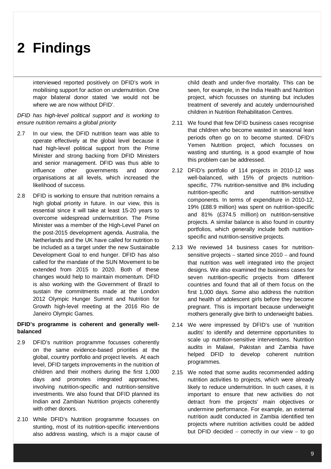interviewed reported positively on DFID's work in mobilising support for action on undernutrition. One major bilateral donor stated 'we would not be where we are now without DFID'.

### *DFID has high-level political support and is working to ensure nutrition remains a global priority*

- 2.7 In our view, the DFID nutrition team was able to operate effectively at the global level because it had high-level political support from the Prime Minister and strong backing from DFID Ministers and senior management. DFID was thus able to influence other governments and donor organisations at all levels, which increased the likelihood of success.
- 2.8 DFID is working to ensure that nutrition remains a high global priority in future. In our view, this is essential since it will take at least 15-20 years to overcome widespread undernutrition. The Prime Minister was a member of the High-Level Panel on the post-2015 development agenda. Australia, the Netherlands and the UK have called for nutrition to be included as a target under the new Sustainable Development Goal to end hunger. DFID has also called for the mandate of the SUN Movement to be extended from 2015 to 2020. Both of these changes would help to maintain momentum. DFID is also working with the Government of Brazil to sustain the commitments made at the London 2012 Olympic Hunger Summit and Nutrition for Growth high-level meeting at the 2016 Rio de Janeiro Olympic Games.

### **DFID's programme is coherent and generally wellbalanced**

- 2.9 DFID's nutrition programme focusses coherently on the same evidence-based priorities at the global, country portfolio and project levels. At each level, DFID targets improvements in the nutrition of children and their mothers during the first 1,000 days and promotes integrated approaches, involving nutrition-specific and nutrition-sensitive investments. We also found that DFID planned its Indian and Zambian Nutrition projects coherently with other donors.
- 2.10 While DFID's Nutrition programme focusses on stunting, most of its nutrition-specific interventions also address wasting, which is a major cause of

child death and under-five mortality. This can be seen, for example, in the India Health and Nutrition project, which focusses on stunting but includes treatment of severely and acutely undernourished children in Nutrition Rehabilitation Centres.

- 2.11 We found that few DFID business cases recognise that children who become wasted in seasonal lean periods often go on to become stunted. DFID's Yemen Nutrition project, which focusses on wasting and stunting, is a good example of how this problem can be addressed.
- 2.12 DFID's portfolio of 114 projects in 2010-12 was well-balanced, with 15% of projects nutritionspecific, 77% nutrition-sensitive and 8% including nutrition-specific and nutrition-sensitive components. In terms of expenditure in 2010-12, 19% (£88.9 million) was spent on nutrition-specific and 81% (£374.5 million) on nutrition-sensitive projects. A similar balance is also found in country portfolios, which generally include both nutritionspecific and nutrition-sensitive projects.
- 2.13 We reviewed 14 business cases for nutritionsensitive projects  $-$  started since 2010  $-$  and found that nutrition was well integrated into the project designs. We also examined the business cases for seven nutrition-specific projects from different countries and found that all of them focus on the first 1,000 days. Some also address the nutrition and health of adolescent girls before they become pregnant. This is important because underweight mothers generally give birth to underweight babies.
- 2.14 We were impressed by DFID's use of 'nutrition audits' to identify and determine opportunities to scale up nutrition-sensitive interventions. Nutrition audits in Malawi, Pakistan and Zambia have helped DFID to develop coherent nutrition programmes.
- 2.15 We noted that some audits recommended adding nutrition activities to projects, which were already likely to reduce undernutrition. In such cases, it is important to ensure that new activities do not detract from the projects' main objectives or undermine performance. For example, an external nutrition audit conducted in Zambia identified ten projects where nutrition activities could be added but DFID decided  $-$  correctly in our view  $-$  to go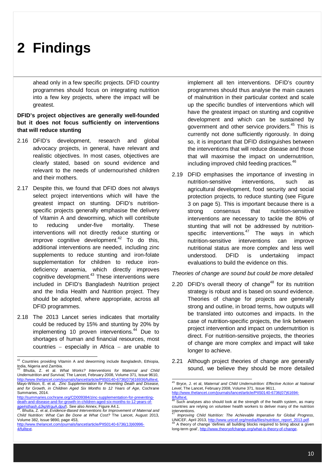ahead only in a few specific projects. DFID country programmes should focus on integrating nutrition into a few key projects, where the impact will be greatest.

### **DFID's project objectives are generally well-founded but it does not focus sufficiently on interventions that will reduce stunting**

- 2.16 DFID's development, research and global advocacy projects, in general, have relevant and realistic objectives. In most cases, objectives are clearly stated, based on sound evidence and relevant to the needs of undernourished children and their mothers.
- 2.17 Despite this, we found that DFID does not always select project interventions which will have the greatest impact on stunting. DFID's nutritionspecific projects generally emphasise the delivery of Vitamin A and deworming, which will contribute to reducing under-five mortality. These interventions will not directly reduce stunting or improve cognitive development.<sup>42</sup> To do this, additional interventions are needed, including zinc supplements to reduce stunting and iron-folate supplementation for children to reduce irondeficiency anaemia, which directly improves cognitive development. $43$  These interventions were included in DFID's Bangladesh Nutrition project and the India Health and Nutrition project. They should be adopted, where appropriate, across all DFID programmes.
- 2.18 The 2013 Lancet series indicates that mortality could be reduced by 15% and stunting by 20% by implementing 10 proven interventions.<sup>44</sup> Due to shortages of human and financial resources, most countries  $-$  especially in Africa  $-$  are unable to

-

<sup>43</sup> Bhutta, Z. et al. *What Works? Interventions for Maternal and Child Undernutrition and Survival,* The Lancet, February 2008, Volume 371, Issue 9610, http://www.thelancet.com/journals/lancet/article/PIIS0140-6736(07)616936/fulltext. Mayo-Wilson, E. et al, *Zinc Supplementation for Preventing Death and Disease, and for Growth, in Children Aged Six Months to 12 Years of Age*, Cochrane Summaries, 2014.

http://summaries.cochrane.org/CD009384/zinc-supplementation-for-preventingdeath-and-disease-and-for-growth-in-children-aged-six-months-to-12-years-ofage#sthash.dJkpWquA.dpuf). See also Annex, Figure A4.1.

<sup>44</sup>. Bhutta, Z. et al, *Evidence-Based Interventions for Improvement of Maternal and Child Nutrition: What Can Be Done at What Cost?* The Lancet, August 2013, Volume 382, Issue 9890, page 453,

http://www.thelancet.com/journals/lancet/article/PIIS0140-6736(13)60996- 4/fulltext.

implement all ten interventions. DFID's country programmes should thus analyse the main causes of malnutrition in their particular context and scale up the specific bundles of interventions which will have the greatest impact on stunting and cognitive development and which can be sustained by government and other service providers.<sup>45</sup> This is currently not done sufficiently rigorously. In doing so, it is important that DFID distinguishes between the interventions that will reduce disease and those that will maximise the impact on undernutrition, including improved child feeding practices.<sup>46</sup>

2.19 DFID emphasises the importance of investing in nutrition-sensitive interventions, such as agricultural development, food security and social protection projects, to reduce stunting (see Figure 3 on page 5). This is important because there is a strong consensus that nutrition-sensitive interventions are necessary to tackle the 80% of stunting that will not be addressed by nutritionspecific interventions.<sup>47</sup> The ways in which nutrition-sensitive interventions can improve nutritional status are more complex and less well understood. DFID is undertaking impact evaluations to build the evidence on this.

*Theories of change are sound but could be more detailed*

- 2.20 DFID's overall theory of change<sup>48</sup> for its nutrition strategy is robust and is based on sound evidence. Theories of change for projects are generally strong and outline, in broad terms, how outputs will be translated into outcomes and impacts. In the case of nutrition-specific projects, the link between project intervention and impact on undernutrition is direct. For nutrition-sensitive projects, the theories of change are more complex and impact will take longer to achieve.
- 2.21 Although project theories of change are generally sound, we believe they should be more detailed

 $42$  Countries providing Vitamin A and deworming include Bangladesh, Ethiopia, India, Nigeria and Zambia.

 <sup>45</sup> Bryce, J. et al, *Maternal and Child Undernutrition: Effective Action at National Level*, The Lancet, February 2008, Volume 371, Issue 9611, http://www.thelancet.com/journals/lancet/article/PIIS0140-6736(07)61694-

<sup>8/</sup>fulltext.

Such analyses also should look at the strength of the health system, as many countries are relying on volunteer health workers to deliver many of the nutrition interventions.

<sup>47</sup> *Improving Child Nutrition: The Achievable Imperative for Global Progress*, UNICEF, April 2013, <u>http://www.unicef.org/media/files/nutrition\_report\_2013.pdf</u>.<br><sup>48</sup> A theory of change 'defines all building blocks required to bring about a given long-term goal', http://www.theoryofchange.org/what-is-theory-of-change.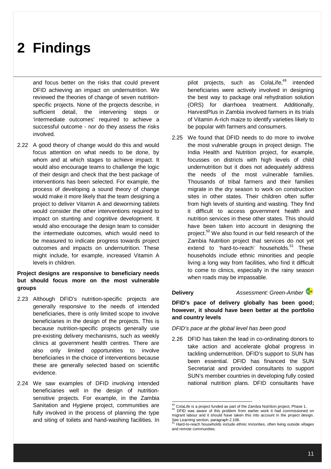and focus better on the risks that could prevent DFID achieving an impact on undernutrition. We reviewed the theories of change of seven nutritionspecific projects. None of the projects describe, in sufficient detail, the intervening steps or 'intermediate outcomes' required to achieve a successful outcome - nor do they assess the risks involved.

2.22 A good theory of change would do this and would focus attention on what needs to be done, by whom and at which stages to achieve impact. It would also encourage teams to challenge the logic of their design and check that the best package of interventions has been selected. For example, the process of developing a sound theory of change would make it more likely that the team designing a project to deliver Vitamin A and deworming tablets would consider the other interventions required to impact on stunting and cognitive development. It would also encourage the design team to consider the intermediate outcomes, which would need to be measured to indicate progress towards project outcomes and impacts on undernutrition. These might include, for example, increased Vitamin A levels in children.

### **Project designs are responsive to beneficiary needs but should focus more on the most vulnerable groups**

- 2.23 Although DFID's nutrition-specific projects are generally responsive to the needs of intended beneficiaries, there is only limited scope to involve beneficiaries in the design of the projects. This is because nutrition-specific projects generally use pre-existing delivery mechanisms, such as weekly clinics at government health centres. There are also only limited opportunities to involve beneficiaries in the choice of interventions because these are generally selected based on scientific evidence.
- 2.24 We saw examples of DFID involving intended beneficiaries well in the design of nutritionsensitive projects. For example, in the Zambia Sanitation and Hygiene project, communities are fully involved in the process of planning the type and siting of toilets and hand-washing facilities. In

pilot projects, such as ColaLife,<sup>49</sup> intended beneficiaries were actively involved in designing the best way to package oral rehydration solution (ORS) for diarrhoea treatment. Additionally, HarvestPlus in Zambia involved farmers in its trials of Vitamin A-rich maize to identify varieties likely to be popular with farmers and consumers.

2.25 We found that DFID needs to do more to involve the most vulnerable groups in project design. The India Health and Nutrition project, for example, focusses on districts with high levels of child undernutrition but it does not adequately address the needs of the most vulnerable families. Thousands of tribal farmers and their families migrate in the dry season to work on construction sites in other states. Their children often suffer from high levels of stunting and wasting. They find it difficult to access government health and nutrition services in these other states. This should have been taken into account in designing the project.<sup>50</sup> We also found in our field research of the Zambia Nutrition project that services do not yet extend to 'hard-to-reach' households.<sup>51</sup> These households include ethnic minorities and people living a long way from facilities, who find it difficult to come to clinics, especially in the rainy season when roads may be impassable.

### **Delivery** *Assessment: Green-Amber*

**DFID's pace of delivery globally has been good; however, it should have been better at the portfolio and country levels**

- *DFID's pace at the global level has been good*
- 2.26 DFID has taken the lead in co-ordinating donors to take action and accelerate global progress in tackling undernutrition. DFID's support to SUN has been essential. DFID has financed the SUN Secretariat and provided consultants to support SUN's member countries in developing fully costed national nutrition plans. DFID consultants have

 $\overline{a}$  $^{49}$  ColaLife is a project funded as part of the Zambia Nutrition project, Phase 1.

<sup>50</sup> DFID was aware of this problem from earlier work it had commissioned on migrant labour and it should have taken this into account in the project design. See Learning section, paragraph 2.106.

<sup>51</sup> Hard-to-reach households include ethnic minorities, often living outside villages and remote communities.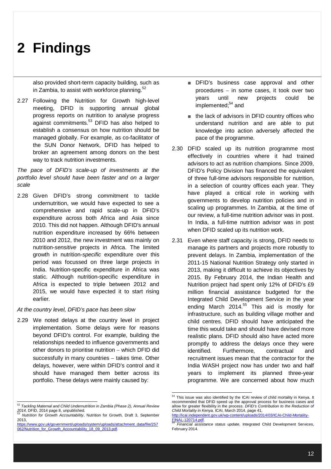also provided short-term capacity building, such as in Zambia, to assist with workforce planning. $52$ 

2.27 Following the Nutrition for Growth high-level meeting, DFID is supporting annual global progress reports on nutrition to analyse progress against commitments.<sup>53</sup> DFID has also helped to establish a consensus on how nutrition should be managed globally. For example, as co-facilitator of the SUN Donor Network, DFID has helped to broker an agreement among donors on the best way to track nutrition investments.

*The pace of DFID's scale-up of investments at the portfolio level should have been faster and on a larger scale*

2.28 Given DFID's strong commitment to tackle undernutrition, we would have expected to see a comprehensive and rapid scale-up in DFID's expenditure across both Africa and Asia since 2010. This did not happen. Although DFID's annual nutrition expenditure increased by 66% between 2010 and 2012, the new investment was mainly on nutrition-*sensitive* projects in Africa. The limited growth in nutrition-*specific* expenditure over this period was focussed on three large projects in India. Nutrition-specific expenditure in Africa was static. Although nutrition-specific expenditure in Africa is expected to triple between 2012 and 2015, we would have expected it to start rising earlier.

#### *At the country level, DFID's pace has been slow*

2.29 We noted delays at the country level in project implementation. Some delays were for reasons beyond DFID's control. For example, building the relationships needed to influence governments and other donors to prioritise nutrition  $-$  which DFID did successfully in many countries  $-$  takes time. Other delays, however, were within DFID's control and it should have managed them better across its portfolio. These delays were mainly caused by:

- DFID's business case approval and other procedures  $-$  in some cases, it took over two years until new projects could be implemented;<sup>54</sup> and
- the lack of advisors in DFID country offices who understand nutrition and are able to put knowledge into action adversely affected the pace of the programme.
- 2.30 DFID scaled up its nutrition programme most effectively in countries where it had trained advisors to act as nutrition champions. Since 2009, DFID's Policy Division has financed the equivalent of three full-time advisors responsible for nutrition, in a selection of country offices each year. They have played a critical role in working with governments to develop nutrition policies and in scaling up programmes. In Zambia, at the time of our review, a full-time nutrition advisor was in post. In India, a full-time nutrition advisor was in post when DFID scaled up its nutrition work.
- 2.31 Even where staff capacity is strong, DFID needs to manage its partners and projects more robustly to prevent delays. In Zambia, implementation of the 2011-15 National Nutrition Strategy only started in 2013, making it difficult to achieve its objectives by 2015. By February 2014, the Indian Health and Nutrition project had spent only 12% of DFID's £9 million financial assistance budgeted for the Integrated Child Development Service in the year ending March 2014.<sup>55</sup> This aid is mostly for infrastructure, such as building village mother and child centres. DFID should have anticipated the time this would take and should have devised more realistic plans. DFID should also have acted more promptly to address the delays once they were identified. Furthermore, contractual and recruitment issues mean that the contractor for the India WASH project now has under two and half years to implement its planned three-year programme. We are concerned about how much

 $\overline{a}$ 

 <sup>52</sup> *Tackling Maternal and Child Undernutrition in Zambia (Phase 2), Annual Review*  2014, DFID, 2014 page 8, unpublished.

<sup>53</sup> *Nutrition for Growth Accountability*, Nutrition for Growth, Draft 3, September 2013,

https://www.gov.uk/government/uploads/system/uploads/attachment\_data/file/257 062/Nutrition\_for\_Growth\_Accountability\_18\_09\_2013.pdf.

<sup>&</sup>lt;sup>54</sup> This issue was also identified by the ICAI review of child mortality in Kenya. It recommended that DFID speed up the approval process for business cases and allow for greater flexibility in the process. *DFID's Contribution to the Reduction of Child Mortality in Kenya,* ICAI, March 2014, page 41,

http://icai.independent.gov.uk/wp-content/up FINAL-120714.pdf.

<sup>55</sup> *Financial assistance status update*, Integrated Child Development Services, February 2014.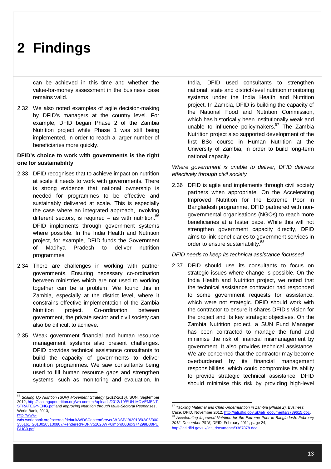can be achieved in this time and whether the value-for-money assessment in the business case remains valid.

2.32 We also noted examples of agile decision-making by DFID's managers at the country level. For example, DFID began Phase 2 of the Zambia Nutrition project while Phase 1 was still being implemented, in order to reach a larger number of beneficiaries more quickly.

### **DFID's choice to work with governments is the right one for sustainability**

- 2.33 DFID recognises that to achieve impact on nutrition at scale it needs to work with governments. There is strong evidence that national ownership is needed for programmes to be effective and sustainably delivered at scale. This is especially the case where an integrated approach, involving different sectors, is required  $-$  as with nutrition.<sup>56</sup> DFID implements through government systems where possible. In the India Health and Nutrition project, for example, DFID funds the Government of Madhya Pradesh to deliver nutrition programmes.
- 2.34 There are challenges in working with partner governments. Ensuring necessary co-ordination between ministries which are not used to working together can be a problem. We found this in Zambia, especially at the district level, where it constrains effective implementation of the Zambia Nutrition project. Co-ordination between government, the private sector and civil society can also be difficult to achieve.
- 2.35 Weak government financial and human resource management systems also present challenges. DFID provides technical assistance consultants to build the capacity of governments to deliver nutrition programmes. We saw consultants being used to fill human resource gaps and strengthen systems, such as monitoring and evaluation. In

India, DFID used consultants to strengthen national, state and district-level nutrition monitoring systems under the India Health and Nutrition project. In Zambia, DFID is building the capacity of the National Food and Nutrition Commission, which has historically been institutionally weak and unable to influence policymakers. $57$  The Zambia Nutrition project also supported development of the first BSc course in Human Nutrition at the University of Zambia, in order to build long-term national capacity.

*Where government is unable to deliver, DFID delivers effectively through civil society* 

2.36 DFID is agile and implements through civil society partners when appropriate. On the Accelerating Improved Nutrition for the Extreme Poor in Bangladesh programme, DFID partnered with nongovernmental organisations (NGOs) to reach more beneficiaries at a faster pace. While this will not strengthen government capacity directly, DFID aims to link beneficiaries to government services in order to ensure sustainability.<sup>58</sup>

#### *DFID needs to keep its technical assistance focussed*

2.37 DFID should use its consultants to focus on strategic issues where change is possible. On the India Health and Nutrition project, we noted that the technical assistance contractor had responded to some government requests for assistance, which were not strategic. DFID should work with the contractor to ensure it shares DFID's vision for the project and its key strategic objectives. On the Zambia Nutrition project, a SUN Fund Manager has been contracted to manage the fund and minimise the risk of financial mismanagement by government. It also provides technical assistance. We are concerned that the contractor may become overburdened by its financial management responsibilities, which could compromise its ability to provide strategic technical assistance. DFID should minimise this risk by providing high-level

 <sup>56</sup> *Scaling Up Nutrition (SUN) Movement Strategy (2012-2015),* SUN, September 2012, http://scalingupnutrition.org/wp-content/uploads/2012/10/SUN-MOVEMENT-STRATEGY-ENG.pdf and *Improving Nutrition through Multi-Sectoral Responses*, World Bank, 2013. http://www-

wds.worldbank.org/external/default/WDSContentServer/WDSP/IB/2013/02/05/000 356161\_20130205130807/Rendered/PDF/751020WP0Impro00Box374299B00PU BLIC0.pdf

 <sup>57</sup> *Tackling Maternal and Child Undernutrition in Zambia (Phase 2), Business Case,* DFID, November 2012, http://iati.dfid.gov.uk/iati\_documents/3739615.doc.

<sup>58</sup> *Accelerating Improved Nutrition for the Extreme Poor in Bangladesh, February 2012–December 2015,* DFID, February 2011, page 24, http://iati.dfid.gov.uk/iati\_documents/3367878.doc.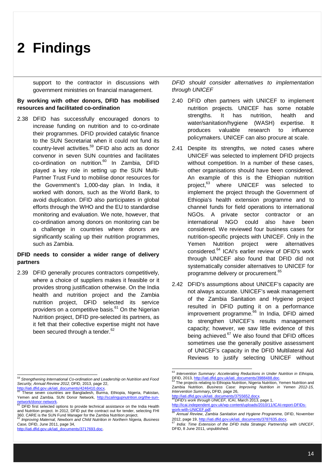support to the contractor in discussions with government ministries on financial management.

### **By working with other donors, DFID has mobilised resources and facilitated co-ordination**

2.38 DFID has successfully encouraged donors to increase funding on nutrition and to co-ordinate their programmes. DFID provided catalytic finance to the SUN Secretariat when it could not fund its country-level activities.<sup>59</sup> DFID also acts as donor convenor in seven SUN countries and facilitates co-ordination on nutrition.<sup>60</sup> In Zambia, DFID played a key role in setting up the SUN Multi-Partner Trust Fund to mobilise donor resources for the Government's 1,000-day plan. In India, it worked with donors, such as the World Bank, to avoid duplication. DFID also participates in global efforts through the WHO and the EU to standardise monitoring and evaluation. We note, however, that co-ordination among donors on monitoring can be a challenge in countries where donors are significantly scaling up their nutrition programmes, such as Zambia.

### **DFID needs to consider a wider range of delivery partners**

2.39 DFID generally procures contractors competitively, where a choice of suppliers makes it feasible or it provides strong justification otherwise. On the India health and nutrition project and the Zambia nutrition project, DFID selected its service providers on a competitive basis.<sup>61</sup> On the Nigerian Nutrition project, DFID pre-selected its partners, as it felt that their collective expertise might not have been secured through a tender. $62$ 

http://iati.dfid.gov.uk/iati\_documents/3717693.doc.

*DFID should consider alternatives to implementation through UNICEF*

- 2.40 DFID often partners with UNICEF to implement nutrition projects. UNICEF has some notable strengths. It has nutrition, health and water/sanitation/hygiene (WASH) expertise. It produces valuable research to influence policymakers. UNICEF can also procure at scale.
- 2.41 Despite its strengths, we noted cases where UNICEF was selected to implement DFID projects without competition. In a number of these cases, other organisations should have been considered. An example of this is the Ethiopian nutrition project,<sup>63</sup> where UNICEF was selected to implement the project through the Government of Ethiopia's health extension programme and to channel funds for field operations to international NGOs. A private sector contractor or an international NGO could also have been considered. We reviewed four business cases for nutrition-specific projects with UNICEF. Only in the Yemen Nutrition project were alternatives considered.<sup>64</sup> ICAI's earlier review of DFID's work through UNICEF also found that DFID did not systematically consider alternatives to UNICEF for programme delivery or procurement.<sup>65</sup>
- 2.42 DFID's assumptions about UNICEF's capacity are not always accurate. UNICEF's weak management of the Zambia Sanitation and Hygiene project resulted in DFID putting it on a performance improvement programme.<sup>66</sup> In India, DFID aimed to strengthen UNICEF's results management capacity; however, we saw little evidence of this being achieved.<sup>67</sup> We also found that DFID offices sometimes use the generally positive assessment of UNICEF's capacity in the DFID Multilateral Aid Reviews to justify selecting UNICEF without

 <sup>59</sup> *Strengthening International Co-ordination and Leadership on Nutrition and Food Security, Annual Review 2012*, DFID, 2013, page 22, http://iati.dfid.gov.uk/iati\_documents/4246410.docx

**Francial School Teach Collect Protocol**.<br>These seven countries are Bangladesh, Burma, Ethiopia, Nigeria, Pakistan, Yemen and Zambia. SUN Donor Network, http://scalingupnutrition.org/the-sun-

network/donor-network.<br><sup>61</sup> DFID first selected options to provide technical assistance on the India Health and Nutrition project. In 2012, DFID put the contract out for tender, selecting FHI 360. CARE is the SUN Fund Manager for the Zambia Nutrition project.

<sup>62</sup> *Improving Maternal, Newborn and Child Nutrition in Northern Nigeria, Business Case,* DFID, June 2011, page 34,

 <sup>63</sup> *Intervention Summary: Accelerating Reductions in Under Nutrition in Ethiopia,*  DFID, 2013, <u>http://iati.dfid.gov.uk/iati\_documents/3988488.doc</u>.<br><sup>64</sup> The projects relating to Ethiopia Nutrition, Nigeria Nutrition, Yemen Nutrition and

Zambia Nutrition. *Business Case: Improving Nutrition in Yemen 2012-15, Intervention Summary***,** DFID, page 26,

http://iati.dfid.gov.uk/iati <sup>65</sup>*DFID's work through UNICEF,* ICAI, March 2013, page 1,

http://icai.independent.gov.uk/wp-content/uploads/2010/11/ICAI-report-DFIDs-

work-with-UNICEF.pdf. <sup>66</sup> *Annual Review, Zambia Sanitation and Hygiene Programme,* DFID, November 2012, page 19, http://iati.dfid.gov.uk/iati\_documents/3787635.docx.

<sup>67</sup> *India: Time Extension of the DFID India Strategic Partnership with UNICEF*, DFID, 8 June 2011*,* unpublished.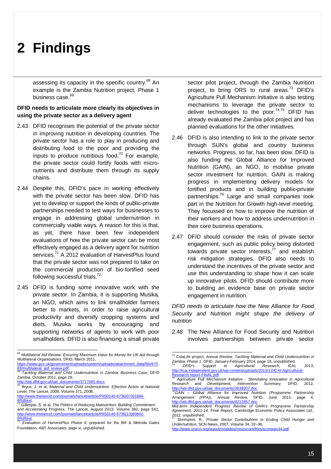assessing its capacity in the specific country.<sup>68</sup> An example is the Zambia Nutrition project, Phase 1 business case.<sup>69</sup>

### **DFID needs to articulate more clearly its objectives in using the private sector as a delivery agent**

- 2.43 DFID recognises the potential of the private sector in improving nutrition in developing countries. The private sector has a role to play in producing and distributing food to the poor and providing the inputs to produce nutritious food.<sup>70</sup> For example, the private sector could fortify foods with micronutrients and distribute them through its supply chains.
- 2.44 Despite this, DFID's pace in working effectively with the private sector has been slow. DFID has yet to develop or support the kinds of public-private partnerships needed to test ways for businesses to engage in addressing global undernutrition in commercially viable ways. A reason for this is that, as yet, there have been few independent evaluations of how the private sector can be most effectively engaged as a delivery agent for nutrition services.<sup>71</sup> A 2012 evaluation of HarvestPlus found that the private sector was not prepared to take on the commercial production of bio-fortified seed following successful trials. $72$
- 2.45 DFID is funding some innovative work with the private sector. In Zambia, it is supporting Musika*,*  an NGO, which aims to link smallholder farmers better to markets, in order to raise agricultural productivity and diversify cropping systems and diets. Musika works by encouraging and supporting networks of agents to work with poor smallholders. DFID is also financing a small private

sector pilot project, through the Zambia Nutrition project, to bring ORS to rural areas. $^{73}$  DFID's Agriculture Pull Mechanism Initiative is also testing mechanisms to leverage the private sector to deliver technologies to the poor. $74,75$  DFID has already evaluated the Zambia pilot project and has planned evaluations for the other initiatives.

- 2.46 DFID is also intending to link to the private sector through SUN's global and country business networks. Progress, so far, has been slow. DFID is also funding the Global Alliance for Improved Nutrition (GAIN), an NGO, to mobilise private sector investment for nutrition. GAIN is making progress in implementing delivery models for fortified products and in building public-private partnerships.<sup>76</sup> Large and small companies took part in the Nutrition for Growth high-level meeting. They focussed on how to improve the nutrition of their workers and how to address undernutrition in their core business operations.
- 2.47 DFID should consider the risks of private sector engagement, such as public policy being distorted towards private sector interests, $77$  and establish risk mitigation strategies. DFID also needs to understand the incentives of the private sector and use this understanding to shape how it can scale up innovative pilots. DFID should contribute more to building an evidence base on private sector engagement in nutrition.

*DFID needs to articulate how the New Alliance for Food Security and Nutrition might shape the delivery of nutrition*

2.48 The New Alliance for Food Security and Nutrition involves partnerships between private sector

http://icai.independent.gov.uk/wp-content/uploads/2013/12/ICAI-Agricultural-Research-report-FINAL.pdf.

<sup>75</sup> *Agriculture Pull Mechanism Initiative - Stimulating Innovation in Agricultural Research and Development, Intervention Summary,* DFID, 2012, http://iati.dfid.gov.uk/iati\_documents/3538207.doc. <sup>76</sup>*GAIN – Global Alliance for Improved Nutrition (Programme Partnership* 

 <sup>68</sup> *Multilateral Aid Review: Ensuring Maximum Value for Money for UK Aid through Multilateral Organisations*, DFID, March 2011, https://www.gov.uk/government/uploads/system/uploads/attachment\_data/file/675

<sup>83/</sup>multilateral\_aid\_review.pdf <sup>69</sup> *Tackling Maternal and Child Undernutrition in Zambia, Business Case*, DFID

Zambia, October 2011, page 29, http://iati.dfid.gov.uk/iati\_documents/3717065.docx.

<sup>70</sup> Bryce, J. et al, *Maternal and Child Undernutrition: Effective Action at National Level*, The Lancet, 2008, Volume 371, 2008,

http://www.thelancet.com/journals/lancet/article/PIIS0140-6736(07)61694 **fulltext** 

<sup>71</sup> Gillespie, S. et al, *The Politics of Reducing Malnutrition: Building Commitment and Accelerating Progress,* The Lancet, August 2013, Volume 382, page 562, http://www.thelancet.com/journals/lancet/article/PIIS0140-6736(13)60842- 9/fulltext

*Evaluation of HarvestPlus Phase II*, prepared for the Bill & Melinda Gates Foundation, ABT Associates, page xi, unpublished.

 <sup>73</sup> ColaLife project, *Annual Review, Tackling Maternal and Child Undernutrition in Zambia, Phase 1,* DFID, January-February 2014, page 18, unpublished. <sup>74</sup> *DFID's Support to Agricultural Research,* ICAI, 2013,

*Arrangement (PPA)), Annual Review,* DFID, June 2013, page 4, http://iati.dfid.gov.uk/iati\_documents/4212457.doc.

*Mid-term Independent Progress Review of GAIN's Programme Partnership Agreement, 2011-14, Final Report,* Cambridge Economic Policy Associates Ltd.,

<sup>2012,</sup> unpublished. <sup>77</sup> Shrimpton, R., *Private Sector Contributions to Ending Child Hunger and Undernutrition*, SCN News, 2007, Volume 34, 32–36,

http://www.unscn.org/layout/modules/resources/files/scnnews34.pdf.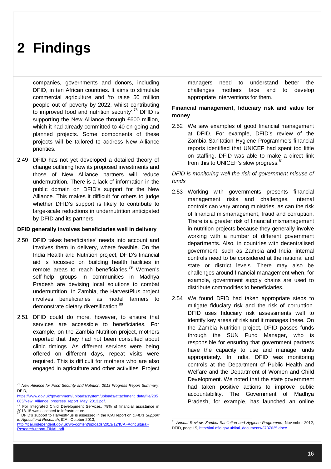companies, governments and donors, including DFID, in ten African countries. It aims to stimulate commercial agriculture and 'to raise 50 million people out of poverty by 2022, whilst contributing to improved food and nutrition security'.<sup>78</sup> DFID is supporting the New Alliance through £600 million, which it had already committed to 40 on-going and planned projects. Some components of these projects will be tailored to address New Alliance priorities.

2.49 DFID has not yet developed a detailed theory of change outlining how its proposed investments and those of New Alliance partners will reduce undernutrition. There is a lack of information in the public domain on DFID's support for the New Alliance. This makes it difficult for others to judge whether DFID's support is likely to contribute to large-scale reductions in undernutrition anticipated by DFID and its partners.

#### **DFID generally involves beneficiaries well in delivery**

- 2.50 DFID takes beneficiaries' needs into account and involves them in delivery, where feasible. On the India Health and Nutrition project, DFID's financial aid is focussed on building health facilities in remote areas to reach beneficiaries.<sup>79</sup> Women's self-help groups in communities in Madhya Pradesh are devising local solutions to combat undernutrition. In Zambia, the HarvestPlus project involves beneficiaries as model farmers to demonstrate dietary diversification.<sup>80</sup>
- 2.51 DFID could do more, however, to ensure that services are accessible to beneficiaries. For example, on the Zambia Nutrition project, mothers reported that they had not been consulted about clinic timings. As different services were being offered on different days, repeat visits were required. This is difficult for mothers who are also engaged in agriculture and other activities. Project

managers need to understand better the challenges mothers face and to develop appropriate interventions for them.

### **Financial management, fiduciary risk and value for money**

2.52 We saw examples of good financial management at DFID. For example, DFID's review of the Zambia Sanitation Hygiene Programme's financial reports identified that UNICEF had spent too little on staffing. DFID was able to make a direct link from this to UNICEF's slow progress.<sup>81</sup>

### *DFID is monitoring well the risk of government misuse of funds*

- 2.53 Working with governments presents financial management risks and challenges. Internal controls can vary among ministries, as can the risk of financial mismanagement, fraud and corruption. There is a greater risk of financial mismanagement in nutrition projects because they generally involve working with a number of different government departments. Also, in countries with decentralised government, such as Zambia and India, internal controls need to be considered at the national and state or district levels. There may also be challenges around financial management when, for example, government supply chains are used to distribute commodities to beneficiaries.
- 2.54 We found DFID had taken appropriate steps to mitigate fiduciary risk and the risk of corruption. DFID uses fiduciary risk assessments well to identify key areas of risk and it manages these. On the Zambia Nutrition project, DFID passes funds through the SUN Fund Manager, who is responsible for ensuring that government partners have the capacity to use and manage funds appropriately. In India, DFID was monitoring controls at the Department of Public Health and Welfare and the Department of Women and Child Development. We noted that the state government had taken positive actions to improve public accountability. The Government of Madhya Pradesh, for example, has launched an online

 <sup>78</sup> *New Alliance for Food Security and Nutrition: 2013 Progress Report Summary*, DFID,

https://www.gov.uk/government/uploads/system/uploads/attachment\_data/file/205 885/New Alliance progress report May 2013.pdf.<br><sup>79</sup> For Integrated Child Development Services, 79% of financial assistance in

<sup>2013-15</sup> was allocated to infrastructure.<br><sup>80</sup> DEID's support to the infrastructure.

<sup>80</sup> DFID's support to HarvestPlus is assessed in the ICAI report on *DFID's Support to Agricultural Research*, ICAI, October 2013, http://icai.independent.gov.uk/wp-content/uploads/2013/12/ICAI-Agricultural-

Research-report-FINAL.pdf.

 <sup>81</sup> *Annual Review, Zambia Sanitation and Hygiene Programme*, November 2012, DFID, page 15, http://iati.dfid.gov.uk/iati\_documents/3787635.docx.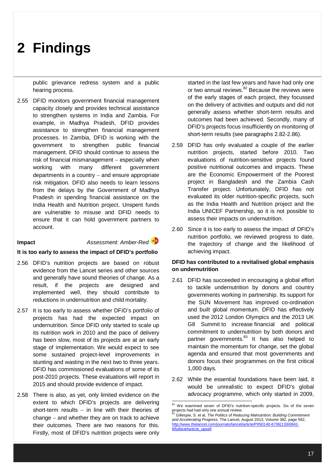public grievance redress system and a public hearing process.

2.55 DFID monitors government financial management capacity closely and provides technical assistance to strengthen systems in India and Zambia. For example, in Madhya Pradesh, DFID provides assistance to strengthen financial management processes. In Zambia, DFID is working with the government to strengthen public financial management. DFID should continue to assess the risk of financial mismanagement  $-$  especially when working with many different government departments in a country  $-$  and ensure appropriate risk mitigation. DFID also needs to learn lessons from the delays by the Government of Madhya Pradesh in spending financial assistance on the India Health and Nutrition project. Unspent funds are vulnerable to misuse and DFID needs to ensure that it can hold government partners to account.

### **Impact** *Assessment: Amber-Red*

### **It is too early to assess the impact of DFID's portfolio**

- 2.56 DFID's nutrition projects are based on robust evidence from the Lancet series and other sources and generally have sound theories of change. As a result, if the projects are designed and implemented well, they should contribute to reductions in undernutrition and child mortality.
- 2.57 It is too early to assess whether DFID's portfolio of projects has had the expected impact on undernutrition. Since DFID only started to scale up its nutrition work in 2010 and the pace of delivery has been slow, most of its projects are at an early stage of implementation. We would expect to see some sustained project-level improvements in stunting and wasting in the next two to three years. DFID has commissioned evaluations of some of its post-2010 projects. These evaluations will report in 2015 and should provide evidence of impact.
- 2.58 There is also, as yet, only limited evidence on the extent to which DFID's projects are delivering short-term results  $-$  in line with their theories of change  $-$  and whether they are on track to achieve their outcomes. There are two reasons for this. Firstly, most of DFID's nutrition projects were only

started in the last few years and have had only one or two annual reviews.<sup>82</sup> Because the reviews were of the early stages of each project, they focussed on the delivery of activities and outputs and did not generally assess whether short-term results and outcomes had been achieved. Secondly, many of DFID's projects focus insufficiently on monitoring of short-term results (see paragraphs 2.82-2.86).

- 2.59 DFID has only evaluated a couple of the earlier nutrition projects, started before 2010. Two evaluations of nutrition-sensitive projects found positive nutritional outcomes and impacts. These are the Economic Empowerment of the Poorest project in Bangladesh and the Zambia Cash Transfer project. Unfortunately, DFID has not evaluated its older nutrition-specific projects, such as the India Health and Nutrition project and the India UNICEF Partnership, so it is not possible to assess their impacts on undernutrition.
- 2.60 Since it is too early to assess the impact of DFID's nutrition portfolio, we reviewed progress to date, the trajectory of change and the likelihood of achieving impact.

### **DFID has contributed to a revitalised global emphasis on undernutrition**

- 2.61 DFID has succeeded in encouraging a global effort to tackle undernutrition by donors and country governments working in partnership. Its support for the SUN Movement has improved co-ordination and built global momentum. DFID has effectively used the 2012 London Olympics and the 2013 UK G8 Summit to increase financial and political commitment to undernutrition by both donors and partner governments.<sup>83</sup> It has also helped to maintain the momentum for change, set the global agenda and ensured that most governments and donors focus their programmes on the first critical 1,000 days.
- 2.62 While the essential foundations have been laid, it would be unrealistic to expect DFID's global advocacy programme, which only started in 2009,

-

<sup>&</sup>lt;sup>82</sup> We examined seven of DFID's nutrition-specific projects. Six of the seven projects had had only one annual review.

<sup>83</sup> Gillespie, S. et al, *The Politics of Reducing Malnutrition: Building Commitment and Accelerating Progress,* The Lancet, August 2013, Volume 382, page 562, http://www.thelancet.com/journals/lancet/article/PIIS0140-6736(13)60842- 9/fulltext#article\_upsell.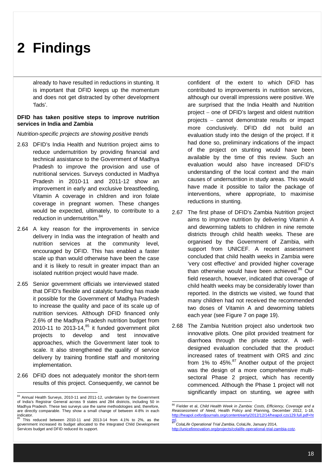already to have resulted in reductions in stunting. It is important that DFID keeps up the momentum and does not get distracted by other development 'fads'.

### **DFID has taken positive steps to improve nutrition services in India and Zambia**

*Nutrition-specific projects are showing positive trends* 

- 2.63 DFID's India Health and Nutrition project aims to reduce undernutrition by providing financial and technical assistance to the Government of Madhya Pradesh to improve the provision and use of nutritional services. Surveys conducted in Madhya Pradesh in 2010-11 and 2011-12 show an improvement in early and exclusive breastfeeding, Vitamin A coverage in children and iron folate coverage in pregnant women. These changes would be expected, ultimately, to contribute to a reduction in undernutrition.<sup>84</sup>
- 2.64 A key reason for the improvements in service delivery in India was the integration of health and nutrition services at the community level, encouraged by DFID. This has enabled a faster scale up than would otherwise have been the case and it is likely to result in greater impact than an isolated nutrition project would have made.
- 2.65 Senior government officials we interviewed stated that DFID's flexible and catalytic funding has made it possible for the Government of Madhya Pradesh to increase the quality and pace of its scale up of nutrition services. Although DFID financed only 2.6% of the Madhya Pradesh nutrition budget from 2010-11 to 2013-14, $^{85}$  it funded government pilot projects to develop and test innovative approaches, which the Government later took to scale. It also strengthened the quality of service delivery by training frontline staff and monitoring implementation.
- 2.66 DFID does not adequately monitor the short-term results of this project. Consequently, we cannot be

confident of the extent to which DFID has contributed to improvements in nutrition services, although our overall impressions were positive. We are surprised that the India Health and Nutrition project  $-$  one of DFID's largest and oldest nutrition projects cannot demonstrate results or impact more conclusively. DFID did not build an evaluation study into the design of the project. If it had done so, preliminary indications of the impact of the project on stunting would have been available by the time of this review. Such an evaluation would also have increased DFID's understanding of the local context and the main causes of undernutrition in study areas. This would have made it possible to tailor the package of interventions, where appropriate, to maximise reductions in stunting.

- 2.67 The first phase of DFID's Zambia Nutrition project aims to improve nutrition by delivering Vitamin A and deworming tablets to children in nine remote districts through child health weeks. These are organised by the Government of Zambia, with support from UNICEF. A recent assessment concluded that child health weeks in Zambia were 'very cost effective' and provided higher coverage than otherwise would have been achieved.<sup>86</sup> Our field research, however, indicated that coverage of child health weeks may be considerably lower than reported. In the districts we visited, we found that many children had not received the recommended two doses of Vitamin A and deworming tablets each year (see Figure 7 on page 19).
- 2.68 The Zambia Nutrition project also undertook two innovative pilots. One pilot provided treatment for diarrhoea through the private sector. A welldesigned evaluation concluded that the product increased rates of treatment with ORS and zinc from 1% to  $45\%$ . <sup>87</sup> Another output of the project was the design of a more comprehensive multisectoral Phase 2 project, which has recently commenced. Although the Phase 1 project will not significantly impact on stunting, we agree with

 $\overline{a}$ <sup>84</sup> Annual Health Surveys, 2010-11 and 2011-12, undertaken by the Government of India's Registrar General across 9 states and 284 districts, including 50 in Madhya Pradesh. These two surveys use the same methodologies and, therefore, are directly comparable. They show a small change of between 4-8% in each indicator.

This reduced between 2010-11 and 2013-14 from 4.1% to 2%, as the government increased its budget allocated to the Integrated Child Development Services budget and DFID reduced its support.

 <sup>86</sup> Fielder et al, *Child Health Week in Zambia: Costs, Efficiency, Coverage and a Reassessment of Need,* Health Policy and Planning, December 2012, 1-18, http://heapol.oxfordjournals.org/content/early/2012/12/14/heapol.czs129.full.pdf+ht ml.

<sup>&</sup>lt;sup>-</sup><br>ColaLife Operational Trial Zambia, ColaLife, January 2014, http://unicefinnovation.org/projects/colalife-operational-trial-zambia-cotz.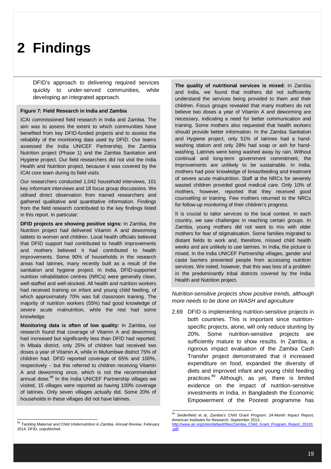DFID's approach to delivering required services quickly to under-served communities, while developing an integrated approach.

#### **Figure 7: Field Research in India and Zambia**

ICAI commissioned field research in India and Zambia. The aim was to assess the extent to which communities have benefited from key DFID-funded projects and to assess the reliability of the monitoring data used by DFID. Our teams assessed the India UNICEF Partnership, the Zambia Nutrition project (Phase 1) and the Zambia Sanitation and Hygiene project. Our field researchers did not visit the India Health and Nutrition project, because it was covered by the ICAI core team during its field visits.

Our researchers conducted 1,042 household interviews, 101 key informant interviews and 18 focus group discussions. We utilised direct observation from trained researchers and gathered qualitative and quantitative information. Findings from the field research contributed to the key findings listed in this report. In particular:

**DFID projects are showing positive signs:** In Zambia, the Nutrition project had delivered Vitamin A and deworming tablets to women and children. Local health officials believed that DFID support had contributed to health improvements and mothers believed it had contributed to health improvements. Some 90% of households in the research areas had latrines, many recently built as a result of the sanitation and hygiene project. In India, DFID-supported nutrition rehabilitation centres (NRCs) were generally clean, well-staffed and well-stocked. All health and nutrition workers had received training on infant and young child feeding, of which approximately 70% was full classroom training. The majority of nutrition workers (55%) had good knowledge of severe acute malnutrition, while the rest had some knowledge.

**Monitoring data is often of low quality:** In Zambia, our research found that coverage of Vitamin A and deworming had increased but significantly less than DFID had reported. In Mbala district, only 25% of children had received two doses a year of Vitamin A, while in Mufumbwe district 75% of children had. DFID reported coverage of 65% and 100%,  $r$ espectively  $-$  but this referred to children receiving Vitamin A and deworming once, which is not the recommended annual dose.<sup>88</sup> In the India UNICEF Partnership villages we visited, 15 villages were reported as having 100% coverage of latrines. Only seven villages actually did. Some 20% of households in these villages did not have latrines.

 <sup>88</sup> *Tackling Maternal and Child Undernutrition in Zambia, Annual Review*, February 2014, DFID, unpublished.

**The quality of nutritional services is mixed:** In Zambia and India, we found that mothers did not sufficiently understand the services being provided to them and their children. Focus groups revealed that many mothers do not believe two doses a year of Vitamin A and deworming are necessary, indicating a need for better communication and training. Some mothers also requested that health workers should provide better information. In the Zambia Sanitation and Hygiene project, only 51% of latrines had a handwashing station and only 28% had soap or ash for handwashing. Latrines were being washed away by rain. Without continual and long-term government commitment, the improvements are unlikely to be sustainable. In India, mothers had poor knowledge of breastfeeding and treatment of severe acute malnutrition. Staff at the NRCs for severely wasted children provided good medical care. Only 10% of mothers, however, reported that they received good counselling or training. Few mothers returned to the NRCs for follow-up monitoring of their children's progress.

It is crucial to tailor services to the local context. In each country, we saw challenges in reaching certain groups. In Zambia, young mothers did not want to mix with older mothers for fear of stigmatisation. Some families migrated to distant fields to work and, therefore, missed child health weeks and are unlikely to use latrines. In India, the picture is mixed. In the India UNICEF Partnership villages, gender and caste barriers prevented people from accessing nutrition services. We noted, however, that this was less of a problem in the predominantly tribal districts covered by the India Health and Nutrition project.

### *Nutrition-sensitive projects show positive trends, although more needs to be done on WASH and agriculture*

2.69 DFID is implementing nutrition-sensitive projects in both countries. This is important since nutritionspecific projects, alone, will only reduce stunting by 20%. Some nutrition-sensitive projects are sufficiently mature to show results. In Zambia, a rigorous impact evaluation of the Zambia Cash Transfer project demonstrated that it increased expenditure on food, expanded the diversity of diets and improved infant and young child feeding practices.<sup>89</sup> Although, as yet, there is limited evidence on the impact of nutrition-sensitive investments in India, in Bangladesh the Economic Empowerment of the Poorest programme has

 <sup>89</sup> Seidenfield et al, *Zambia's Child Grant Program: 24-Month Impact Report*, American Institutes for Research, September 2013,<br><u>http://www.air.org/sites/default/files/Zambia\_Child\_Grant\_Program\_Report\_20131</u> .pdf.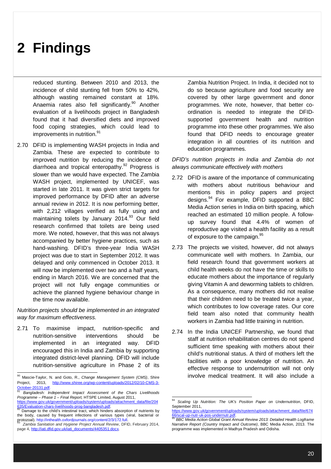reduced stunting. Between 2010 and 2013, the incidence of child stunting fell from 50% to 42%, although wasting remained constant at 18%. Anaemia rates also fell significantly.<sup>90</sup> Another evaluation of a livelihoods project in Bangladesh found that it had diversified diets and improved food coping strategies, which could lead to improvements in nutrition.<sup>91</sup>

2.70 DFID is implementing WASH projects in India and Zambia. These are expected to contribute to improved nutrition by reducing the incidence of diarrhoea and tropical enteropathy.<sup>92</sup> Progress is slower than we would have expected. The Zambia WASH project, implemented by UNICEF, was started in late 2011. It was given strict targets for improved performance by DFID after an adverse annual review in 2012. It is now performing better, with 2,212 villages verified as fully using and maintaining toilets by January 2014.<sup>93</sup> Our field research confirmed that toilets are being used more. We noted, however, that this was not always accompanied by better hygiene practices, such as hand-washing. DFID's three-year India WASH project was due to start in September 2012. It was delayed and only commenced in October 2013. It will now be implemented over two and a half years, ending in March 2016. We are concerned that the project will not fully engage communities or achieve the planned hygiene behaviour change in the time now available.

*Nutrition projects should be implemented in an integrated way for maximum effectiveness.*

2.71 To maximise impact, nutrition-specific and nutrition-sensitive interventions should be implemented in an integrated way. DFID encouraged this in India and Zambia by supporting integrated district-level planning. DFID will include nutrition-sensitive agriculture in Phase 2 of its Zambia Nutrition Project. In India, it decided not to do so because agriculture and food security are covered by other large government and donor programmes. We note, however, that better coordination is needed to integrate the DFIDsupported government health and nutrition programme into these other programmes. We also found that DFID needs to encourage greater integration in all countries of its nutrition and education programmes.

*DFID's nutrition projects in India and Zambia do not always communicate effectively with mothers* 

- 2.72 DFID is aware of the importance of communicating with mothers about nutritious behaviour and mentions this in policy papers and project designs.<sup>94</sup> For example, DFID supported a BBC Media Action series in India on birth spacing, which reached an estimated 10 million people. A followup survey found that 4.4% of women of reproductive age visited a health facility as a result of exposure to the campaign.<sup>95</sup>
- 2.73 The projects we visited, however, did not always communicate well with mothers. In Zambia, our field research found that government workers at child health weeks do not have the time or skills to educate mothers about the importance of regularly giving Vitamin A and deworming tablets to children. As a consequence, many mothers did not realise that their children need to be treated twice a year, which contributes to low coverage rates. Our core field team also noted that community health workers in Zambia had little training in nutrition.
- 2.74 In the India UNICEF Partnership, we found that staff at nutrition rehabilitation centres do not spend sufficient time speaking with mothers about their child's nutritional status. A third of mothers left the facilities with a poor knowledge of nutrition. An effective response to undernutrition will not only involve medical treatment. It will also include a

 <sup>90</sup> Mascie-Taylor, N. and Goto, R., *Change Management System (CMS)*, Shire Project, 2013, http://www.shiree.org/wp-content/uploads/2012/02/10-CMS-3-October-20131.pdf.

<sup>91</sup> *Bangladesh: Independent Impact Assessment of the Chars Livelihoods Programme – Phase 1 – Final Report,* HTSPE Limited, August 2011, https://www.gov.uk/government/uploads/system/uploads/attachment\_data/file/204<br>635/Evaluation-chars-livelihoods-prog-bangladesh.pdf.

<sup>635/</sup>Evaluation-chars-livelihoods-prog-bangladesh.pdf<br><sup>92</sup> Demage to the shild's integring treat, which hinders Damage to the child's intestinal tract, which hinders absorption of nutrients by the body, caused by frequent infections of various types (viral, bacterial or

protozoal). <u>http://inthealth.oxfordjournals.org/content/2/3/172.full</u>.<br><sup>93</sup> *Zambia Sanitation and Hygiene Project Annual Review*, DFID, February 2014, page 4, http://iati.dfid.gov.uk/iati\_documents/4405351.docx.

 $\overline{a}$ Scaling Up Nutrition: The UK's Position Paper on Undernutrition, DFID, September 2011.

https://www.gov.uk/government/uploads/system/uploads/attachment\_data/file/674 66/scal-up-nutr-uk-pos-undernutr.pdf. <sup>95</sup> *BBC Media Action Global Grant Annual Review 2013: Detailed Health Logframe* 

*Narrative Report (Country Impact and Outcome)*, BBC Media Action, 2013. The programme was implemented in Madhya Pradesh and Odisha.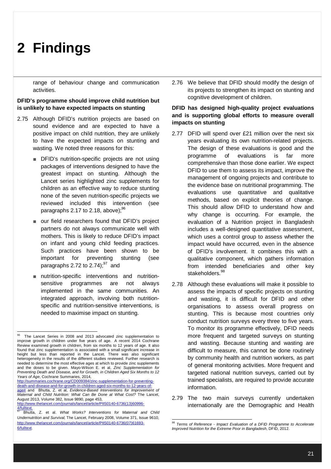range of behaviour change and communication activities.

### **DFID's programme should improve child nutrition but is unlikely to have expected impacts on stunting**

- 2.75 Although DFID's nutrition projects are based on sound evidence and are expected to have a positive impact on child nutrition, they are unlikely to have the expected impacts on stunting and wasting. We noted three reasons for this:
	- DFID's nutrition-specific projects are not using packages of interventions designed to have the greatest impact on stunting. Although the Lancet series highlighted zinc supplements for children as an effective way to reduce stunting none of the seven nutrition-specific projects we reviewed included this intervention (see paragraphs 2.17 to 2.18, above); $96$
	- our field researchers found that DFID's project partners do not always communicate well with mothers. This is likely to reduce DFID's impact on infant and young child feeding practices. Such practices have been shown to be important for preventing stunting (see paragraphs 2.72 to 2.74); $^{97}$  and
	- nutrition-specific interventions and nutritionsensitive programmes are not always implemented in the same communities. An integrated approach, involving both nutritionspecific and nutrition-sensitive interventions, is needed to maximise impact on stunting.

http://summaries.cochrane.org/CD009384/zinc-supplementation-for-preventingdeath-and-disease-and-for-growth-in-children-aged-six-months-to-12-years-of-age# and Bhutta, Z. et al, *Evidence-Based Interventions for Improvement of Maternal and Child Nutrition: What Can Be Done at What Cost?* The Lancet, August 2013, Volume 382, Issue 9890, page 453, http://www.thelancet.com/journals/lancet/article/PIIS0140-6736(13)60996-

4/fulltext.

2.76 We believe that DFID should modify the design of its projects to strengthen its impact on stunting and cognitive development of children.

### **DFID has designed high-quality project evaluations and is supporting global efforts to measure overall impacts on stunting**

- 2.77 DFID will spend over £21 million over the next six years evaluating its own nutrition-related projects. The design of these evaluations is good and the programme of evaluations is far more comprehensive than those done earlier. We expect DFID to use them to assess its impact, improve the management of ongoing projects and contribute to the evidence base on nutritional programming. The evaluations use quantitative and qualitative methods, based on explicit theories of change. This should allow DFID to understand how and why change is occurring. For example, the evaluation of a Nutrition project in Bangladesh includes a well-designed quantitative assessment, which uses a control group to assess whether the impact would have occurred, even in the absence of DFID's involvement. It combines this with a qualitative component, which gathers information from intended beneficiaries and other key stakeholders. 98
- 2.78 Although these evaluations will make it possible to assess the impacts of specific projects on stunting and wasting, it is difficult for DFID and other organisations to assess overall progress on stunting. This is because most countries only conduct nutrition surveys every three to five years. To monitor its programme effectively, DFID needs more frequent and targeted surveys on stunting and wasting. Because stunting and wasting are difficult to measure, this cannot be done routinely by community health and nutrition workers, as part of general monitoring activities. More frequent and targeted national nutrition surveys, carried out by trained specialists, are required to provide accurate information.
- 2.79 The two main surveys currently undertaken internationally are the Demographic and Health

 96 The Lancet Series in 2008 and 2013 advocated zinc supplementation to improve growth in children under five years of age. A recent 2014 Cochrane Review examined growth in children, from six months to 12 years of age. It also found that zinc supplementation is associated with a small significant increase in height but less than reported in the Lancet. There was also significant heterogeneity in the results of the different studies reviewed. Further research is needed to determine the most effective ages at which to provide zinc supplements and the doses to be given. Mayo-Wilson E. et al, *Zinc Supplementation for Preventing Death and Disease, and for Growth, in Children Aged Six Months to 12 Years of Age*, Cochrane Summaries, 2014,

<sup>97</sup> Bhutta, Z. et al. *What Works? Interventions for Maternal and Child Undernutrition and Survival,* The Lancet, February 2008, Volume 371, Issue 9610, http://www.thelancet.com/journals/lancet/article/PIIS0140-6736(07)61693- 6/fulltext.

 <sup>98</sup> *Terms of Reference - Impact Evaluation of a DFID Programme to Accelerate Improved Nutrition for the Extreme Poor in Bangladesh*, DFID, 2012.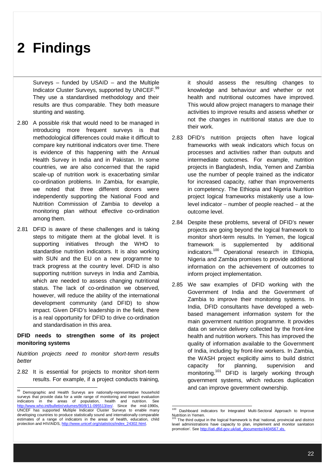Surveys – funded by USAID – and the Multiple Indicator Cluster Surveys, supported by UNICEF.<sup>99</sup> They use a standardised methodology and their results are thus comparable. They both measure stunting and wasting.

- 2.80 A possible risk that would need to be managed in introducing more frequent surveys is that methodological differences could make it difficult to compare key nutritional indicators over time. There is evidence of this happening with the Annual Health Survey in India and in Pakistan. In some countries, we are also concerned that the rapid scale-up of nutrition work is exacerbating similar co-ordination problems. In Zambia, for example, we noted that three different donors were independently supporting the National Food and Nutrition Commission of Zambia to develop a monitoring plan without effective co-ordination among them.
- 2.81 DFID is aware of these challenges and is taking steps to mitigate them at the global level. It is supporting initiatives through the WHO to standardise nutrition indicators. It is also working with SUN and the EU on a new programme to track progress at the country level. DFID is also supporting nutrition surveys in India and Zambia, which are needed to assess changing nutritional status. The lack of co-ordination we observed, however, will reduce the ability of the international development community (and DFID) to show impact. Given DFID's leadership in the field, there is a real opportunity for DFID to drive co-ordination and standardisation in this area.

### **DFID needs to strengthen some of its project monitoring systems**

*Nutrition projects need to monitor short-term results better*

2.82 It is essential for projects to monitor short-term results. For example, if a project conducts training,

it should assess the resulting changes to knowledge and behaviour and whether or not health and nutritional outcomes have improved. This would allow project managers to manage their activities to improve results and assess whether or not the changes in nutritional status are due to their work.

- 2.83 DFID's nutrition projects often have logical frameworks with weak indicators which focus on processes and activities rather than outputs and intermediate outcomes. For example, nutrition projects in Bangladesh, India, Yemen and Zambia use the number of people trained as the indicator for increased capacity, rather than improvements in competency. The Ethiopia and Nigeria Nutrition project logical frameworks mistakenly use a lowlevel indicator  $-$  number of people reached  $-$  at the outcome level.
- 2.84 Despite these problems, several of DFID's newer projects are going beyond the logical framework to monitor short-term results. In Yemen, the logical framework is supplemented by additional indicators.<sup>100</sup> Operational research in Ethiopia, Nigeria and Zambia promises to provide additional information on the achievement of outcomes to inform project implementation.
- 2.85 We saw examples of DFID working with the Government of India and the Government of Zambia to improve their monitoring systems. In India, DFID consultants have developed a webbased management information system for the main government nutrition programme. It provides data on service delivery collected by the front-line health and nutrition workers. This has improved the quality of information available to the Government of India, including by front-line workers. In Zambia, the WASH project explicitly aims to build district capacity for planning, supervision and monitoring.<sup>101</sup> DFID is largely working through government systems, which reduces duplication and can improve government ownership.

<sup>&</sup>lt;sup>99</sup> Demographic and Health Surveys are nationally-representative household surveys that provide data for a wide range of monitoring and impact evaluation indicators in the areas of population, health and nutrition. See http://www.who.int/bulletin/volumes/90/8/11-095513/en/. Since the mid-1990s, UNCEF has supported Multiple Indicator Cluster Surveys to enable many developing countries to produce statistically sound and internationally comparable estimates of a range of indicators in the areas of health, education, child protection and HIV/AIDS, http://www.unicef.org/statistics/index\_24302.html.

<sup>100</sup> Dashboard indicators for Integrated Multi-Sectoral Approach to Improve Nutrition in Yemen.

The third output in the logical framework is that 'national, provincial and district level administrations have capacity to plan, implement and monitor sanitation promotion'. See http://iati.dfid.gov.uk/iati\_documents/4404567.xls.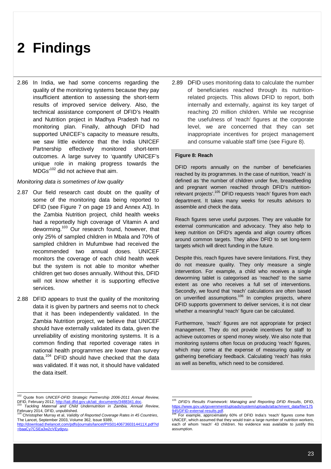2.86 In India, we had some concerns regarding the quality of the monitoring systems because they pay insufficient attention to assessing the short-term results of improved service delivery. Also, the technical assistance component of DFID's Health and Nutrition project in Madhya Pradesh had no monitoring plan. Finally, although DFID had supported UNICEF's capacity to measure results, we saw little evidence that the India UNICEF Partnership effectively monitored short-term outcomes. A large survey to 'quantify UNICEF's unique role in making progress towards the MDGs'<sup>102</sup> did not achieve that aim.

#### *Monitoring data is sometimes of low quality*

- 2.87 Our field research cast doubt on the quality of some of the monitoring data being reported to DFID (see Figure 7 on page 19 and Annex A3). In the Zambia Nutrition project, child health weeks had a reportedly high coverage of Vitamin A and deworming.<sup>103</sup> Our research found, however, that only 25% of sampled children in Mbala and 70% of sampled children in Mufumbwe had received the recommended two annual doses. UNICEF monitors the coverage of each child health week but the system is not able to monitor whether children get two doses annually. Without this, DFID will not know whether it is supporting effective services.
- 2.88 DFID appears to trust the quality of the monitoring data it is given by partners and seems not to check that it has been independently validated. In the Zambia Nutrition project, we believe that UNICEF should have externally validated its data, given the unreliability of existing monitoring systems. It is a common finding that reported coverage rates in national health programmes are lower than survey data. <sup>104</sup> DFID should have checked that the data was validated. If it was not, it should have validated the data itself.

2.89 DFID uses monitoring data to calculate the number of beneficiaries reached through its nutritionrelated projects. This allows DFID to report, both internally and externally, against its key target of reaching 20 million children. While we recognise the usefulness of 'reach' figures at the corporate level, we are concerned that they can set inappropriate incentives for project management and consume valuable staff time (see Figure 8).

#### **Figure 8: Reach**

DFID reports annually on the number of beneficiaries reached by its programmes. In the case of nutrition, 'reach' is defined as 'the number of children under five, breastfeeding and pregnant women reached through DFID's nutritionrelevant projects'.<sup>105</sup> DFID requests 'reach' figures from each department. It takes many weeks for results advisors to assemble and check the data.

Reach figures serve useful purposes. They are valuable for external communication and advocacy. They also help to keep nutrition on DFID's agenda and align country offices around common targets. They allow DFID to set long-term targets which will direct funding in the future.

Despite this, reach figures have severe limitations. First, they do not measure quality. They only measure a single intervention. For example, a child who receives a single deworming tablet is categorised as 'reached' to the same extent as one who receives a full set of interventions. Secondly, we found that 'reach' calculations are often based on unverified assumptions.<sup>106</sup> In complex projects, where DFID supports government to deliver services, it is not clear whether a meaningful 'reach' figure can be calculated.

Furthermore, 'reach' figures are not appropriate for project management. They do not provide incentives for staff to achieve outcomes or spend money wisely. We also note that monitoring systems often focus on producing 'reach' figures, which may come at the expense of measuring quality or gathering beneficiary feedback. Calculating 'reach' has risks as well as benefits, which need to be considered.

 $\overline{a}$ 

 <sup>102</sup> Quote from *UNICEF-DFID Strategic Partnership 2006-2011 Annual Review,*  DFID, February 2012, http://iati.dfid.gov.uk/iati\_documents/3488341.doc. <sup>103</sup> *Tackling Maternal and Child Undernutrition in Zambia, Annual Review*,

February 2014, DFID, unpublished. <sup>104</sup> Christopher Murray et al, *Validity of Reported Coverage Rates in 45 Countries*,

The Lancet, September 2003, Volume 362, Issue 9389, http://download.thelancet.com/pdfs/journals/lancet/PIIS014067360314411X.pdf?id

<sup>=</sup>baaCy7CSEa3w2cVEydgvu.

<sup>105</sup> *DFID's Results Framework: Managing and Reporting DFID Results*, DFID, https://www.gov.uk/government/upload 945/DFID-external-results.pdf

For example, approximately 60% of DFID India's 'reach' figures come from UNICEF, which assumed that they would train a large number of nutrition workers, each of whom 'reach' 43 children. No evidence was available to justify this assumption.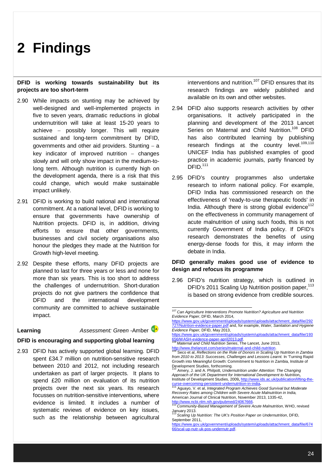#### **DFID is working towards sustainability but its projects are too short-term**

- 2.90 While impacts on stunting may be achieved by well-designed and well-implemented projects in five to seven years, dramatic reductions in global undernutrition will take at least 15-20 years to achieve possibly longer. This will require sustained and long-term commitment by DFID, governments and other aid providers. Stunting  $-$  a key indicator of improved nutrition  $-$  changes slowly and will only show impact in the medium-tolong term. Although nutrition is currently high on the development agenda, there is a risk that this could change, which would make sustainable impact unlikely.
- 2.91 DFID is working to build national and international commitment. At a national level, DFID is working to ensure that governments have ownership of Nutrition projects. DFID is, in addition, driving efforts to ensure that other governments, businesses and civil society organisations also honour the pledges they made at the Nutrition for Growth high-level meeting.
- 2.92 Despite these efforts, many DFID projects are planned to last for three years or less and none for more than six years. This is too short to address the challenges of undernutrition. Short-duration projects do not give partners the confidence that DFID and the international development community are committed to achieve sustainable impact.

**Learning** *Assessment: Green* **-Amber**  $\frac{6}{4}$ 

#### **DFID is encouraging and supporting global learning**

2.93 DFID has actively supported global learning. DFID spent £34.7 million on nutrition-sensitive research between 2010 and 2012, not including research undertaken as part of larger projects. It plans to spend £20 million on evaluation of its nutrition projects over the next six years. Its research focusses on nutrition-sensitive interventions, where evidence is limited. It includes a number of systematic reviews of evidence on key issues, such as the relationship between agricultural

interventions and nutrition.<sup>107</sup> DFID ensures that its research findings are widely published and available on its own and other websites.

- 2.94 DFID also supports research activities by other organisations. It actively participated in the planning and development of the 2013 Lancet Series on Maternal and Child Nutrition.<sup>108</sup> DFID has also contributed learning by publishing research findings at the country level. $109,110$ UNICEF India has published examples of good practice in academic journals, partly financed by DFID.<sup>111</sup>
- 2.95 DFID's country programmes also undertake research to inform national policy. For example, DFID India has commissioned research on the effectiveness of 'ready-to-use therapeutic foods' in India. Although there is strong global evidence<sup>112</sup> on the effectiveness in community management of acute malnutrition of using such foods, this is not currently Government of India policy. If DFID's research demonstrates the benefits of using energy-dense foods for this, it may inform the debate in India.

### **DFID generally makes good use of evidence to design and refocus its programme**

2.96 DFID's nutrition strategy, which is outlined in DFID's 2011 Scaling Up Nutrition position paper.<sup>113</sup> is based on strong evidence from credible sources.

https://www.gov.uk/government/uploads/system/uploads/attachment\_data/file/193<br>656/WASH-evidence-paper-april2013.pdf.<br><sup>108</sup> Mobanet and Oriental Corrections -paper-april2013.pdf

 <sup>107</sup> *Can Agriculture Interventions Promote Nutrition? Agriculture and Nutrition Evidence Paper*, DFID, March 2014,

https://www.gov.uk/government/uploads/system/uploads/attachment\_data/file/292 727/Nutrition-evidence-paper.pdf and, for example, *Water, Sanitation and Hygiene Evidence Paper,* DFID, May 2013,

*Maternal and Child Nutrition Series*, The Lancet, June 2013,

http://www.thelancet.com/series/maternal-and-child-nutrition. <sup>109</sup> Seco et al, *Reflections on the Role of Donors in Scaling Up Nutrition in Zambia from 2010 to 2013: Successes, Challenges and Lessons Learnt.* In 'Turning Rapid Growth into Meaningful Growth: Commitment to Nutrition in Zambia, Institute of Development Studies, forthcoming.

<sup>110</sup> Amery, J. and A. Philpott, *Undernutrition under Attention: The Changing Approach of the UK Department for International Development to Nutrition***,**  Institute of Development Studies, 2009**,** http://www.ids.ac.uk/publication/lifting-the-

curse-overcoming-persistent-undernutrition-in-india**.**  <sup>111</sup> Aguayo, V. et al, *Integrated Program Achieves Good Survival but Moderate Recovery Rates among Children with Severe Acute Malnutrition in India,*  American Journal of Clinical Nutrition, November 2013, 1335-42, http://www.ncbi.nlm.nih.gov/pubmed/2406766

<sup>112</sup> *Community-Based Management of Severe Acute Malnutrition*, WHO, revised January 2013.

Scaling Up Nutrition: The UK's Position Paper on Undernutrition, DFID, September 2011,

https://www.gov.uk/government/uploads/system/uploads/attachment\_data/file/674 66/scal-up-nutr-uk-pos-undernutr.pdf.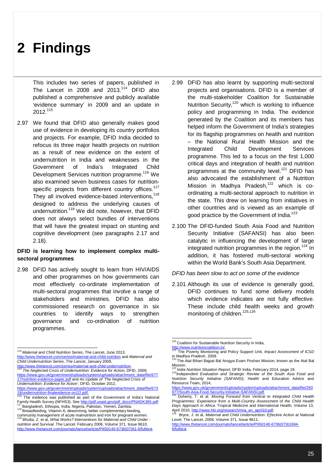This includes two series of papers, published in The Lancet in 2008 and  $2013$ <sup>114</sup> DFID also published a comprehensive and publicly available 'evidence summary' in 2009 and an update in 2012.<sup>115</sup>

2.97 We found that DFID also generally makes good use of evidence in developing its country portfolios and projects. For example, DFID India decided to refocus its three major health projects on nutrition as a result of new evidence on the extent of undernutrition in India and weaknesses in the Government of India's Integrated Child Development Services nutrition programme.<sup>116</sup> We also examined seven business cases for nutritionspecific projects from different country offices.<sup>117</sup> They all involved evidence-based interventions,<sup>118</sup> designed to address the underlying causes of undernutrition.<sup>119</sup> We did note, however, that DFID does not always select bundles of interventions that will have the greatest impact on stunting and cognitive development (see paragraphs 2.17 and 2.18).

### **DFID is learning how to implement complex multisectoral programmes**

2.98 DFID has actively sought to learn from HIV/AIDS and other programmes on how governments can most effectively co-ordinate implementation of multi-sectoral programmes that involve a range of stakeholders and ministries. DFID has also commissioned research on governance in six countries to identify ways to strengthen governance and co-ordination of nutrition programmes.

 <sup>114</sup> *Maternal and Child Nutrition Series*, The Lancet, June 2013, http://www.thelancet.com/series/maternal-and-child-nutrition and *Maternal and Child Undernutrition Series*, The Lancet, January 2008,

http://www.thelancet.com/series/maternal-and-child-undernutritic **The Neglected Crisis of Undernutrition: Evidence for Action, DFID, 2009,** https://www.gov.uk/government/uploads/system/uploads/attachment\_data/file/677 17/nutrition-evidence-paper.pdf and *An Update of 'The Neglected Crisis of* 

*Undernutrition: Evidence for Action'*, DFID, October 2012, https://www.gov.uk/government/uploads/system/uploads/attachment\_data/file/673

- 2.99 DFID has also learnt by supporting multi-sectoral projects and organisations. DFID is a member of the multi-stakeholder Coalition for Sustainable Nutrition Security, $120$  which is working to influence policy and programming in India. The evidence generated by the Coalition and its members has helped inform the Government of India's strategies for its flagship programmes on health and nutrition – the National Rural Health Mission and the Integrated Child Development Services programme. This led to a focus on the first 1,000 critical days and integration of health and nutrition programmes at the community level.<sup>121</sup> DFID has also advocated the establishment of a Nutrition Mission in Madhya Pradesh,<sup>122</sup> which is coordinating a multi-sectoral approach to nutrition in the state. This drew on learning from initiatives in other countries and is viewed as an example of good practice by the Government of India. $123$
- 2.100 The DFID-funded South Asia Food and Nutrition Security Initiative (SAFANSI) has also been catalytic in influencing the development of large integrated nutrition programmes in the region.<sup>124</sup> In addition, it has fostered multi-sectoral working within the World Bank's South Asia Department.
- *DFID has been slow to act on some of the evidence*
- 2.101 Although its use of evidence is generally good, DFID continues to fund some delivery models which evidence indicates are not fully effective. These include child health weeks and growth monitoring of children.<sup>125,126</sup>

 $\overline{a}$ 

<sup>19/</sup>undernutrition-finalevidence-oct12.pdf. <sup>116</sup> The evidence was published as part of the Government of India's National Family Health Survey (NFHS3). See http://pdf.usaid.gov/pdf\_docs/PNADK385.pdf. 1111 Bangladesh, Ethiopia, India, Nigeria, Pakistan, Yemen, Zambia.

<sup>118</sup> Breastfeeding, Vitamin A, deworming, better complementary feeding, community management of acute malnutrition and iron for pregnant women.

<sup>119</sup> Bhutta, Z. et al, *What Works? Interventions for Maternal and Child Under nutrition and Survival.* The Lancet. February 2008, Volume 371, Issue 9610, http://www.thelancet.com/journals/lancet/article/PIIS0140-6736(07)61-6/fulltext.

<sup>&</sup>lt;sup>120</sup> Coalition for Sustainable Nutrition Security in India,

http://www.nutritioncoalition.in/. <sup>121</sup> The Poverty Monitoring and Policy Support Unit*, Impact Assessment of ICSD in Madhya Pradesh*, 2009.

The Atal Bihari Bajpai Bal Arogya Evam Poshan Mission, known as the Atal Bal Mission.

<sup>123</sup> *India Nutrition Situation Report,* DFID India, February 2014, page 19. <sup>124</sup>*Independent Evaluation and Strategic Review of the South Asia Food and Nutrition Security Initiative (SAFANSI)*, Health and Education Advice and Resource Team, 2014,

https://www.gov.uk/government/uploads/system/uploads/attachment\_data/file/283 977/South-Asia-Food-Security-Initiative-SAFANSI.pdf.

<sup>125</sup> Doherty, T. et al. *Moving Forward from Vertical to Integrated Child Health Programmes: Experience from a Multi-Country Assessment of the Child Health Days Approach in Africa*. Tropical Medicine and International Health, Volume 13, April 2010, http://www.hki.org/research/nna\_en\_april10.pdf.<br><sup>126</sup> Price Let al. Maternal and Child Underputrition: Effe

Bryce, J. et al, *Maternal and Child Undernutrition: Effective Action at National Level*, The Lancet, 2008, Volume 371, Issue 9611,

http://www.thelancet.com/journals/lancet/article/PIIS0140-6736(07)61694- 8/fulltext.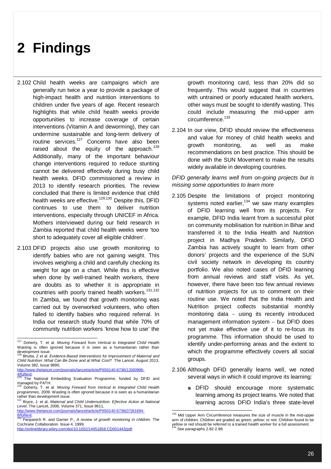- 2.102 Child health weeks are campaigns which are generally run twice a year to provide a package of high-impact health and nutrition interventions to children under five years of age. Recent research highlights that while child health weeks provide opportunities to increase coverage of certain interventions (Vitamin A and deworming), they can undermine sustainable and long-term delivery of routine services.<sup>127</sup> Concerns have also been raised about the equity of the approach.<sup>128</sup> Additionally, many of the important behaviour change interventions required to reduce stunting cannot be delivered effectively during busy child health weeks. DFID commissioned a review in 2013 to identify research priorities. The review concluded that there is limited evidence that child health weeks are effective.<sup>129,130</sup> Despite this, DFID continues to use them to deliver nutrition interventions, especially through UNICEF in Africa. Mothers interviewed during our field research in Zambia reported that child health weeks were 'too short to adequately cover all eligible children'.
- 2.103 DFID projects also use growth monitoring to identify babies who are not gaining weight. This involves weighing a child and carefully checking its weight for age on a chart. While this is effective when done by well-trained health workers, there are doubts as to whether it is appropriate in countries with poorly trained health workers.<sup>131,132</sup> In Zambia, we found that growth monitoring was carried out by overworked volunteers, who often failed to identify babies who required referral. In India our research study found that while 70% of community nutrition workers 'know how to use' the

http://www.thelancet.com/journals/lancet/article/PIIS0140-6736(07)61694- 8/fulltext. <sup>132</sup> Panpanich R. and Garner P., *A review of growth monitoring in children.* The growth monitoring card, less than 20% did so frequently. This would suggest that in countries with untrained or poorly educated health workers, other ways must be sought to identify wasting. This could include measuring the mid-upper arm circumference.<sup>133</sup>

2.104 In our view, DFID should review the effectiveness and value for money of child health weeks and growth monitoring, as well as make recommendations on best practice. This should be done with the SUN Movement to make the results widely available in developing countries.

### *DFID generally learns well from on-going projects but is missing some opportunities to learn more*

- 2.105 Despite the limitations of project monitoring systems noted earlier,<sup>134</sup> we saw many examples of DFID learning well from its projects. For example, DFID India learnt from a successful pilot on community mobilisation for nutrition in Bihar and transferred it to the India Health and Nutrition project in Madhya Pradesh. Similarly, DFID Zambia has actively sought to learn from other donors' projects and the experience of the SUN civil society network in developing its country portfolio. We also noted cases of DFID learning from annual reviews and staff visits. As yet, however, there have been too few annual reviews of nutrition projects for us to comment on their routine use. We noted that the India Health and Nutrition project collects substantial monthly monitoring data  $-$  using its recently introduced management information system  $-$  but DFID does not yet make effective use of it to re-focus its programme. This information should be used to identify under-performing areas and the extent to which the programme effectively covers all social groups.
- 2.106 Although DFID generally learns well, we noted several ways in which it could improve its learning:
	- DFID should encourage more systematic learning among its project teams. We noted that learning across DFID India's three state-level

 $\overline{a}$ 

 <sup>127</sup> Doherty, T. et al. *Moving Forward from Vertical to Integrated Child Health*  Wasting is often ignored because it is seen as a humanitarian rather than development issue.

<sup>128</sup> Bhutta, Z et al. *Evidence-Based Interventions for Improvement of Maternal and Child Nutrition: What Can Be Done and at What Cost?* The Lancet. August 2013, Volume 382, Issue 9890,

http://www.thelancet.com/journals/lancet/article/PIIS0140-6736(13)60996-  $\frac{4}{129}$   $\frac{4}{129}$ 

The National Embedding Evaluation Programme, funded by DFID and managed by PATH.

Doherty, T. et al. Moving Forward from Vertical to Integrated Child Health *programmes,* 2009*.* Wasting is often ignored because it is seen as a humanitarian

rather than development issue. <sup>131</sup> Bryce, J. et al, *Maternal and Child Undernutrition: Effective Action at National Level*, The Lancet, 2008, Volume 371, Issue 9611,

Cochrane Collaboration. Issue 4. 1999,

http://onlinelibrary.wiley.com/doi/10.1002/14651858.CD001443/pdf.

<sup>&</sup>lt;sup>133</sup> Mid Upper Arm Circumference measures the size of muscle in the mid-upper arm of children. Children are graded as green; yellow; or red. Children found to be yellow or red should be referred to a trained health worker for a full assessment.<br><sup>134</sup> See paragraphs 2.82-2.89.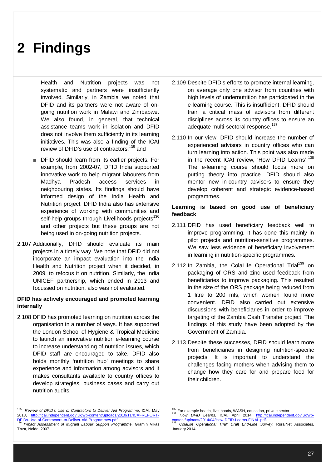Health and Nutrition projects was not systematic and partners were insufficiently involved. Similarly, in Zambia we noted that DFID and its partners were not aware of ongoing nutrition work in Malawi and Zimbabwe. We also found, in general, that technical assistance teams work in isolation and DFID does not involve them sufficiently in its learning initiatives. This was also a finding of the ICAI review of DFID's use of contractors:<sup>135</sup> and

- DFID should learn from its earlier projects. For example, from 2002-07, DFID India supported innovative work to help migrant labourers from Madhya Pradesh access services in neighbouring states. Its findings should have informed design of the India Health and Nutrition project. DFID India also has extensive experience of working with communities and self-help groups through Livelihoods projects<sup>136</sup> and other projects but these groups are not being used in on-going nutrition projects.
- 2.107 Additionally, DFID should evaluate its main projects in a timely way. We note that DFID did not incorporate an impact evaluation into the India Health and Nutrition project when it decided, in 2009, to refocus it on nutrition. Similarly, the India UNICEF partnership, which ended in 2013 and focussed on nutrition, also was not evaluated.

### **DFID has actively encouraged and promoted learning internally**

2.108 DFID has promoted learning on nutrition across the organisation in a number of ways. It has supported the London School of Hygiene & Tropical Medicine to launch an innovative nutrition e-learning course to increase understanding of nutrition issues, which DFID staff are encouraged to take. DFID also holds monthly 'nutrition hub' meetings to share experience and information among advisors and it makes consultants available to country offices to develop strategies, business cases and carry out nutrition audits.

- 2.109 Despite DFID's efforts to promote internal learning, on average only one advisor from countries with high levels of undernutrition has participated in the e-learning course. This is insufficient. DFID should train a critical mass of advisors from different disciplines across its country offices to ensure an adequate multi-sectoral response.<sup>137</sup>
- 2.110 In our view, DFID should increase the number of experienced advisors in country offices who can turn learning into action. This point was also made in the recent ICAI review, 'How DFID Learns'. 138 The e-learning course should focus more on putting theory into practice. DFID should also mentor new in-country advisors to ensure they develop coherent and strategic evidence-based programmes.

### **Learning is based on good use of beneficiary feedback**

- 2.111 DFID has used beneficiary feedback well to improve programming. It has done this mainly in pilot projects and nutrition-sensitive programmes. We saw less evidence of beneficiary involvement in learning in nutrition-specific programmes.
- 2.112 In Zambia, the ColaLife Operational Trial<sup>139</sup> on packaging of ORS and zinc used feedback from beneficiaries to improve packaging. This resulted in the size of the ORS package being reduced from 1 litre to 200 mls, which women found more convenient. DFID also carried out extensive discussions with beneficiaries in order to improve targeting of the Zambia Cash Transfer project. The findings of this study have been adopted by the Government of Zambia.
- 2.113 Despite these successes, DFID should learn more from beneficiaries in designing nutrition-specific projects. It is important to understand the challenges facing mothers when advising them to change how they care for and prepare food for their children.

 135 *Review of DFID's Use of Contractors to Deliver Aid Programme*, ICAI, May 2013, http://icai.independent.gov.uk/wp-content/uploads/2010/11/ICAI-REPORT-

DFIDs-Use-of-Contractors-to-Deliver-Aid-Programmes.pdf. <sup>136</sup> *Impact Assessment of Migrant Labour Support Programme,* Gramin Vikas Trust, Noida, 2007.

<sup>137&</sup>lt;br>Tor example health, livelihoods, WASH, education, private sector.

<sup>138</sup> *How DFID Learns*, ICAI, April 2014, http://icai.independent.gov.uk/wp-

content/uploads/2014/04/How-DFID-Learns-FINAL.pdf. <sup>139</sup> *ColaLife Operational Trial: Draft End-Line Survey*, RuralNet Associates, January 2014.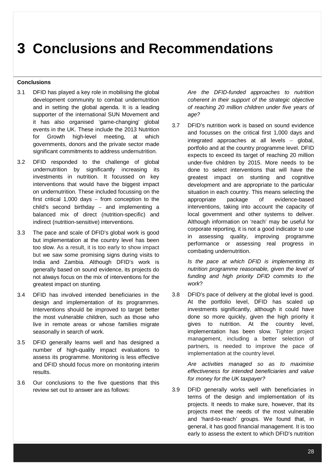## **3 Conclusions and Recommendations**

### **Conclusions**

- 3.1 DFID has played a key role in mobilising the global development community to combat undernutrition and in setting the global agenda. It is a leading supporter of the international SUN Movement and it has also organised 'game-changing' global events in the UK. These include the 2013 Nutrition for Growth high-level meeting, at which governments, donors and the private sector made significant commitments to address undernutrition.
- 3.2 DFID responded to the challenge of global undernutrition by significantly increasing its investments in nutrition. It focussed on key interventions that would have the biggest impact on undernutrition. These included focussing on the first critical  $1,000$  days  $-$  from conception to the child's second birthday  $-$  and implementing a balanced mix of direct (nutrition-specific) and indirect (nutrition-sensitive) interventions.
- 3.3 The pace and scale of DFID's global work is good but implementation at the country level has been too slow. As a result, it is too early to show impact but we saw some promising signs during visits to India and Zambia. Although DFID's work is generally based on sound evidence, its projects do not always focus on the mix of interventions for the greatest impact on stunting.
- 3.4 DFID has involved intended beneficiaries in the design and implementation of its programmes. Interventions should be improved to target better the most vulnerable children, such as those who live in remote areas or whose families migrate seasonally in search of work.
- 3.5 DFID generally learns well and has designed a number of high-quality impact evaluations to assess its programme. Monitoring is less effective and DFID should focus more on monitoring interim results.
- 3.6 Our conclusions to the five questions that this review set out to answer are as follows:

*Are the DFID-funded approaches to nutrition coherent in their support of the strategic objective of reaching 20 million children under five years of age?*

3.7 DFID's nutrition work is based on sound evidence and focusses on the critical first 1,000 days and integrated approaches at all levels - global, portfolio and at the country programme level. DFID expects to exceed its target of reaching 20 million under-five children by 2015. More needs to be done to select interventions that will have the greatest impact on stunting and cognitive development and are appropriate to the particular situation in each country. This means selecting the appropriate package of evidence-based interventions, taking into account the capacity of local government and other systems to deliver. Although information on 'reach' may be useful for corporate reporting, it is not a good indicator to use in assessing quality, improving programme performance or assessing real progress in combating undernutrition.

> *Is the pace at which DFID is implementing its nutrition programme reasonable, given the level of funding and high priority DFID commits to the work*?

3.8 DFID's pace of delivery at the global level is good. At the portfolio level, DFID has scaled up investments significantly, although it could have done so more quickly, given the high priority it gives to nutrition. At the country level, implementation has been slow. Tighter project management, including a better selection of partners, is needed to improve the pace of implementation at the country level.

*Are activities managed so as to maximise effectiveness for intended beneficiaries and value for money for the UK taxpayer?*

3.9 DFID generally works well with beneficiaries in terms of the design and implementation of its projects. It needs to make sure, however, that its projects meet the needs of the most vulnerable and 'hard-to-reach' groups. We found that, in general, it has good financial management. It is too early to assess the extent to which DFID's nutrition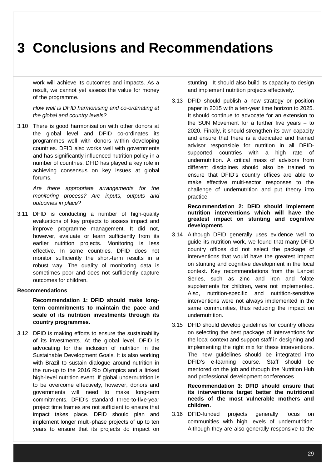### **3 Conclusions and Recommendations**

work will achieve its outcomes and impacts. As a result, we cannot yet assess the value for money of the programme.

*How well is DFID harmonising and co-ordinating at the global and country levels?*

3.10 There is good harmonisation with other donors at the global level and DFID co-ordinates its programmes well with donors within developing countries. DFID also works well with governments and has significantly influenced nutrition policy in a number of countries. DFID has played a key role in achieving consensus on key issues at global forums.

> *Are there appropriate arrangements for the monitoring process? Are inputs, outputs and outcomes in place?*

3.11 DFID is conducting a number of high-quality evaluations of key projects to assess impact and improve programme management. It did not, however, evaluate or learn sufficiently from its earlier nutrition projects. Monitoring is less effective. In some countries, DFID does not monitor sufficiently the short-term results in a robust way. The quality of monitoring data is sometimes poor and does not sufficiently capture outcomes for children.

### **Recommendations**

**Recommendation 1: DFID should make longterm commitments to maintain the pace and scale of its nutrition investments through its country programmes.** 

3.12 DFID is making efforts to ensure the sustainability of its investments. At the global level, DFID is advocating for the inclusion of nutrition in the Sustainable Development Goals. It is also working with Brazil to sustain dialogue around nutrition in the run-up to the 2016 Rio Olympics and a linked high-level nutrition event. If global undernutrition is to be overcome effectively, however, donors and governments will need to make long-term commitments. DFID's standard three-to-five-year project time frames are not sufficient to ensure that impact takes place. DFID should plan and implement longer multi-phase projects of up to ten years to ensure that its projects do impact on

stunting. It should also build its capacity to design and implement nutrition projects effectively.

3.13 DFID should publish a new strategy or position paper in 2015 with a ten-year time horizon to 2025. It should continue to advocate for an extension to the SUN Movement for a further five years  $-$  to 2020. Finally, it should strengthen its own capacity and ensure that there is a dedicated and trained advisor responsible for nutrition in all DFIDsupported countries with a high rate of undernutrition. A critical mass of advisors from different disciplines should also be trained to ensure that DFID's country offices are able to make effective multi-sector responses to the challenge of undernutrition and put theory into practice.

> **Recommendation 2: DFID should implement nutrition interventions which will have the greatest impact on stunting and cognitive development.**

- 3.14 Although DFID generally uses evidence well to guide its nutrition work, we found that many DFID country offices did not select the package of interventions that would have the greatest impact on stunting and cognitive development in the local context. Key recommendations from the Lancet Series, such as zinc and iron and folate supplements for children, were not implemented. Also, nutrition-specific and nutrition-sensitive interventions were not always implemented in the same communities, thus reducing the impact on undernutrition.
- 3.15 DFID should develop guidelines for country offices on selecting the best package of interventions for the local context and support staff in designing and implementing the right mix for these interventions. The new guidelines should be integrated into DFID's e-learning course. Staff should be mentored on the job and through the Nutrition Hub and professional development conferences.

**Recommendation 3: DFID should ensure that its interventions target better the nutritional needs of the most vulnerable mothers and children.**

3.16 DFID-funded projects generally focus on communities with high levels of undernutrition. Although they are also generally responsive to the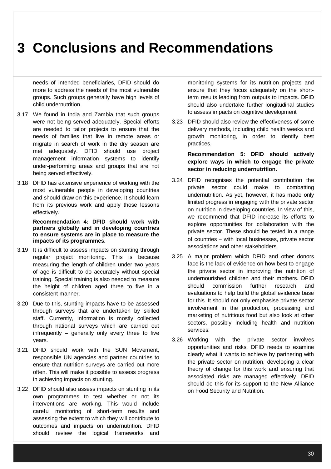### **3 Conclusions and Recommendations**

needs of intended beneficiaries, DFID should do more to address the needs of the most vulnerable groups. Such groups generally have high levels of child undernutrition.

- 3.17 We found in India and Zambia that such groups were not being served adequately. Special efforts are needed to tailor projects to ensure that the needs of families that live in remote areas or migrate in search of work in the dry season are met adequately. DFID should use project management information systems to identify under-performing areas and groups that are not being served effectively.
- 3.18 DFID has extensive experience of working with the most vulnerable people in developing countries and should draw on this experience. It should learn from its previous work and apply those lessons effectively.

**Recommendation 4: DFID should work with partners globally and in developing countries to ensure systems are in place to measure the impacts of its programmes.** 

- 3.19 It is difficult to assess impacts on stunting through regular project monitoring. This is because measuring the length of children under two years of age is difficult to do accurately without special training. Special training is also needed to measure the height of children aged three to five in a consistent manner.
- 3.20 Due to this, stunting impacts have to be assessed through surveys that are undertaken by skilled staff. Currently, information is mostly collected through national surveys which are carried out  $in$  frequently  $-$  generally only every three to five years.
- 3.21 DFID should work with the SUN Movement, responsible UN agencies and partner countries to ensure that nutrition surveys are carried out more often. This will make it possible to assess progress in achieving impacts on stunting.
- 3.22 DFID should also assess impacts on stunting in its own programmes to test whether or not its interventions are working. This would include careful monitoring of short-term results and assessing the extent to which they will contribute to outcomes and impacts on undernutrition. DFID should review the logical frameworks and

monitoring systems for its nutrition projects and ensure that they focus adequately on the shortterm results leading from outputs to impacts. DFID should also undertake further longitudinal studies to assess impacts on cognitive development

3.23 DFID should also review the effectiveness of some delivery methods, including child health weeks and growth monitoring, in order to identify best practices.

> **Recommendation 5: DFID should actively explore ways in which to engage the private sector in reducing undernutrition.**

- 3.24 DFID recognises the potential contribution the private sector could make to combatting undernutrition. As yet, however, it has made only limited progress in engaging with the private sector on nutrition in developing countries. In view of this, we recommend that DFID increase its efforts to explore opportunities for collaboration with the private sector. These should be tested in a range of countries  $-$  with local businesses, private sector associations and other stakeholders.
- 3.25 A major problem which DFID and other donors face is the lack of evidence on how best to engage the private sector in improving the nutrition of undernourished children and their mothers. DFID should commission further research and evaluations to help build the global evidence base for this. It should not only emphasise private sector involvement in the production, processing and marketing of nutritious food but also look at other sectors, possibly including health and nutrition services.
- 3.26 Working with the private sector involves opportunities and risks. DFID needs to examine clearly what it wants to achieve by partnering with the private sector on nutrition, developing a clear theory of change for this work and ensuring that associated risks are managed effectively. DFID should do this for its support to the New Alliance on Food Security and Nutrition.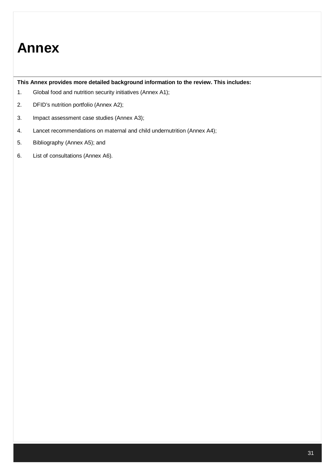**This Annex provides more detailed background information to the review. This includes:**

- 1. Global food and nutrition security initiatives (Annex A1);
- 2. DFID's nutrition portfolio (Annex A2);
- 3. Impact assessment case studies (Annex A3);
- 4. Lancet recommendations on maternal and child undernutrition (Annex A4);
- 5. Bibliography (Annex A5); and
- 6. List of consultations (Annex A6).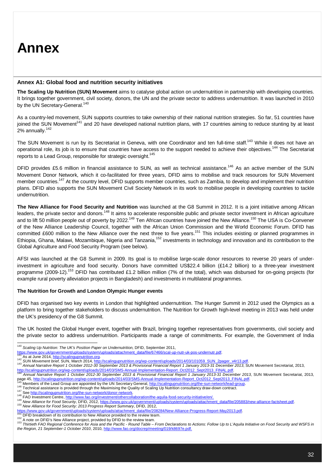#### **Annex A1: Global food and nutrition security initiatives**

**The Scaling Up Nutrition (SUN) Movement** aims to catalyse global action on undernutrition in partnership with developing countries. It brings together government, civil society, donors, the UN and the private sector to address undernutrition. It was launched in 2010 by the UN Secretary-General.<sup>140</sup>

As a country-led movement, SUN supports countries to take ownership of their national nutrition strategies. So far, 51 countries have joined the SUN Movement<sup>141</sup> and 20 have developed national nutrition plans, with 17 countries aiming to reduce stunting by at least 2% annually.<sup>142</sup>

The SUN Movement is run by its Secretariat in Geneva, with one Coordinator and ten full-time staff.<sup>143</sup> While it does not have an operational role, its job is to ensure that countries have access to the support needed to achieve their obiectives.<sup>144</sup> The Secretariat reports to a Lead Group, responsible for strategic oversight.<sup>145</sup>

DFID provides £5.6 million in financial assistance to SUN, as well as technical assistance.<sup>146</sup> As an active member of the SUN Movement Donor Network, which it co-facilitated for three years, DFID aims to mobilise and track resources for SUN Movement member countries.<sup>147</sup> At the country level, DFID supports member countries, such as Zambia, to develop and implement their nutrition plans. DFID also supports the SUN Movement Civil Society Network in its work to mobilise people in developing countries to tackle undernutrition.

**The New Alliance for Food Security and Nutrition** was launched at the G8 Summit in 2012. It is a joint initiative among African leaders, the private sector and donors.<sup>148</sup> It aims to accelerate responsible public and private sector investment in African agriculture and to lift 50 million people out of poverty by 2022.<sup>149</sup> Ten African countries have joined the New Alliance.<sup>150</sup> The USA is Co-Convener of the New Alliance Leadership Council, together with the African Union Commission and the World Economic Forum. DFID has committed £600 million to the New Alliance over the next three to five years.<sup>151</sup> This includes existing or planned programmes in Ethiopia, Ghana, Malawi, Mozambique, Nigeria and Tanzania,<sup>152</sup> investments in technology and innovation and its contribution to the Global Agriculture and Food Security Program (see below).

AFSI was launched at the G8 Summit in 2009. Its goal is to mobilise large-scale donor resources to reverse 20 years of underinvestment in agriculture and food security. Donors have committed US\$22.4 billion (£14.2 billion) to a three-year investment programme (2009-12).<sup>153</sup> DFID has contributed £1.2 billion million (7% of the total), which was disbursed for on-going projects (for example rural poverty alleviation projects in Bangladesh) and investments in multilateral programmes.

#### **The Nutrition for Growth and London Olympic Hunger events**

DFID has organised two key events in London that highlighted undernutrition. The Hunger Summit in 2012 used the Olympics as a platform to bring together stakeholders to discuss undernutrition. The Nutrition for Growth high-level meeting in 2013 was held under the UK's presidency of the G8 Summit.

The UK hosted the Global Hunger event, together with Brazil, bringing together representatives from governments, civil society and the private sector to address undernutrition. Participants made a range of commitments. For example, the Government of India

- <sup>146</sup> Technical assistance is provided through the Maximising the Quality of Scaling Up Nutrition consultancy draw-down contract.
- <sup>147</sup> See http://scalingupnutrition.org/the-sun-network/donor-network.

 <sup>140</sup> *Scaling Up Nutrition: The UK's Position Paper on Undernutrition,* DFID, September 2011,

https://www.gov.uk/government/uploads/system/uploads/attachment\_data/file/67466/scal-up-nutr-uk-pos-undernutr.pdf.<br>141 As at June 2014, <u>http://scalingupnutrition.org</u>.

<sup>142</sup> SUN Movement brief, SUN, March 2014, http://scalingupnutrition.org/wp-content/uploads/2014/03/101059\_SUN\_2pager\_v4r13.pdf

<sup>143</sup> *Annual Narrative Report 1 October 2012-30 September 2013 & Provisional Financial Report 1 January 2013-31 December 2013, SUN Movement Secretariat, 2013,<br>http://scalingupnutrition.org/wp-content/uploads/2014/03/SMS-Ann* 

<sup>&</sup>lt;u>http://scalingupnutrition.org/wp-content/uploads/2014/03/SMS-Annual-Implementation-Report\_Oct2012\_Sept2013\_FINAL.pdf</u>.<br><sup>144</sup> Annual Narrative Report 1 October 2012-30 September 2013 & Provisional Financial Report 1 Januar page 45, http://scalingupnutrition.org/wp-content/uploads/2014/03/SMS-Annual-Implementation-Report\_Oct2012\_Sept2013\_FINAL.pdf

<sup>145</sup> Members of the Lead Group are appointed by the UN Secretary General, http://scalingupnutrition.org/the-sun-network/lead-group.

<sup>148</sup> FAO Investment Centre, http://www.fao.org/investment/othercollaboration/the-aquila-food-security-initiative/en/.

<sup>149</sup> *New Alliance for Food Security*, DFID, 2012, https://www.gov.uk/government/uploads/system/uploads/attachment\_data/file/205883/new-alliance-factsheet.pdf. <sup>150</sup> *New Alliance for Food Security: 2013 Progress Report Summary*, DFID, 2012,

https://www.gov.uk/government/uploads/system/uploads/attachment\_data/file/208284/New-Alliance-Progress-Report-May2013.pdf.

 $^{151}$  DFID breakdown of its contribution to New Alliance provided to the review team.

<sup>&</sup>lt;sup>152</sup> A note on DFID's New Alliance project, provided by DFID to the review team.<br><sup>153</sup> Thirtieth FAO Regional Conference for Asia and the Pacific - Round Table – From Declarations to Actions: Follow Up to L'Aquila Initiat

*the Region, 21 September-1 October 2010*, 2010, http://www.fao.org/docrep/meeting/019/k8697e.pdf.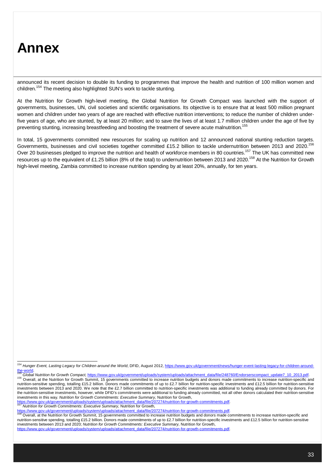announced its recent decision to double its funding to programmes that improve the health and nutrition of 100 million women and children.<sup>154</sup> The meeting also highlighted SUN's work to tackle stunting.

At the Nutrition for Growth high-level meeting, the Global Nutrition for Growth Compact was launched with the support of governments, businesses, UN, civil societies and scientific organisations. Its objective is to ensure that at least 500 million pregnant women and children under two years of age are reached with effective nutrition interventions; to reduce the number of children underfive years of age, who are stunted, by at least 20 million; and to save the lives of at least 1.7 million children under the age of five by preventing stunting, increasing breastfeeding and boosting the treatment of severe acute malnutrition.<sup>155</sup>

In total, 15 governments committed new resources for scaling up nutrition and 12 announced national stunting reduction targets. Governments, businesses and civil societies together committed £15.2 billion to tackle undernutrition between 2013 and 2020.<sup>156</sup> Over 20 businesses pledged to improve the nutrition and health of workforce members in 80 countries.<sup>157</sup> The UK has committed new resources up to the equivalent of £1.25 billion (8% of the total) to undernutrition between 2013 and 2020.<sup>158</sup> At the Nutrition for Growth high-level meeting, Zambia committed to increase nutrition spending by at least 20%, annually, for ten years.

<sup>&</sup>lt;sub>.</sub><br><sup>154</sup> *Hunger Event, Lasting Legacy for Children around the World,* DFID, August 2012, <u>https://www.gov.uk/government/news/hunger-event-lasting-legacy-for-children-around-</u>

the-world.<br><sup>155</sup> Global Nutrition for Growth Compact, <u>https://www.gov.uk/government/uploads/system/uploads/attachment\_data/file/248760/Endorserscompact\_update7\_10\_2013.pdf.</u> <sup>156</sup> Overall, at the Nutrition for Growth Summit, 15 governments committed to increase nutrition budgets and donors made commitments to increase nutrition-specific and nutrition-sensitive spending, totalling £15.2 billion. Donors made commitments of up to £2.7 billion for nutrition-specific investments and £12.5 billion for nutrition-sensitive investments between 2013 and 2020. We note that the £2.7 billion committed to nutrition-specific investments was additional to funding already committed by donors. For the nutrition-sensitive investments, however, while DFID's commitments were additional to funding already committed, not all other donors calculated their nutrition-sensitive investments in this way. *Nutrition for Growth Commitments: Executive Summary,* Nutrition for Growth,

https://www.gov.uk/government/uploads/system/uploads/attachment\_data/file/207274/nutrition-for-growth-commitments.pdf <sup>157</sup> *Nutrition for Growth Commitments: Executive Summary,* Nutrition for Growth*,* 

https://www.gov.uk/government/uploads/system/uploads/attachment\_data/file/207274/nutrition-for-growth-commitments.pdf

<sup>158</sup> Overall, at the Nutrition for Growth Summit, 15 governments committed to increase nutrition budgets and donors made commitments to increase nutrition-specific and nutrition-sensitive spending, totalling £15.2 billion. Donors made commitments of up to £2.7 billion for nutrition-specific investments and £12.5 billion for nutrition-sensitive investments between 2013 and 2020; *Nutrition for Growth Commitments: Executive Summary,* Nutrition for Growth, https://www.gov.uk/government/uploads/system/uploads/attachment\_data/file/207274/nutrition-for-growth-commitments.pdf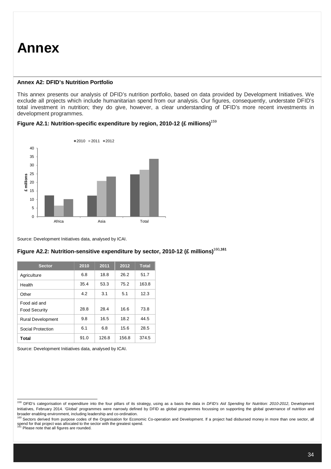#### **Annex A2: DFID's Nutrition Portfolio**

This annex presents our analysis of DFID's nutrition portfolio, based on data provided by Development Initiatives. We exclude all projects which include humanitarian spend from our analysis. Our figures, consequently, understate DFID's total investment in nutrition; they do give, however, a clear understanding of DFID's more recent investments in development programmes.



#### **Figure A2.1: Nutrition-specific expenditure by region, 2010-12 (£ millions)**<sup>159</sup>

Source: Development Initiatives data, analysed by ICAI.

| <b>Sector</b>                        | 2010 | 2011  | 2012  | <b>Total</b> |
|--------------------------------------|------|-------|-------|--------------|
| Agriculture                          | 6.8  | 18.8  | 26.2  | 51.7         |
| Health                               | 35.4 | 53.3  | 75.2  | 163.8        |
| Other                                | 4.2  | 3.1   | 5.1   | 12.3         |
| Food aid and<br><b>Food Security</b> | 28.8 | 28.4  | 16.6  | 73.8         |
| <b>Rural Development</b>             | 9.8  | 16.5  | 18.2  | 44.5         |
| Social Protection                    | 6.1  | 6.8   | 15.6  | 28.5         |
| Total                                | 91.0 | 126.8 | 156.8 | 374.5        |

### **Figure A2.2: Nutrition-sensitive expenditure by sector, 2010-12 (£ millions)**<sup>160</sup>**,161**

Source: Development Initiatives data, analysed by ICAI.

 <sup>159</sup> DFID's categorisation of expenditure into the four pillars of its strategy, using as a basis the data in *DFID's Aid Spending for Nutrition: 2010-2012*, Development Initiatives, February 2014. 'Global' programmes were narrowly defined by DFID as global programmes focussing on supporting the global governance of nutrition and

broader enabling environment, including leadership and co-ordination.<br><sup>160</sup> Sectors derived from purpose codes of the Organisation for Economic Co-operation and Development. If a project had disbursed money in more than on spend for that project was allocated to the sector with the greatest spend.<br><sup>161</sup> Please note that all figures are rounded.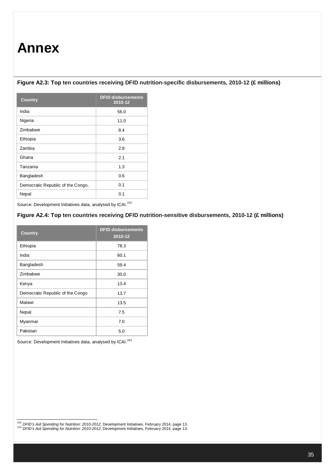### **Figure A2.3: Top ten countries receiving DFID nutrition-specific disbursements, 2010-12 (£ millions)**

| <b>Country</b>                    | <b>DFID disbursements</b><br>2010-12 |
|-----------------------------------|--------------------------------------|
| India                             | 56.0                                 |
| Nigeria                           | 11.0                                 |
| Zimbabwe                          | 8.4                                  |
| Ethiopia                          | 3.6                                  |
| Zambia                            | 2.8                                  |
| Ghana                             | 2.1                                  |
| Tanzania                          | 1.3                                  |
| Bangladesh                        | 0.6                                  |
| Democratic Republic of the Congo, | 0.1                                  |
| Nepal                             | 0.1                                  |

Source: Development Initiatives data, analysed by ICAI.<sup>162</sup>

### **Figure A2.4: Top ten countries receiving DFID nutrition-sensitive disbursements, 2010-12 (£ millions)**

| <b>Country</b>                   | <b>DFID disbursements</b><br>2010-12 |
|----------------------------------|--------------------------------------|
| Ethiopia                         | 78.3                                 |
| India                            | 60.1                                 |
| Bangladesh                       | 59.4                                 |
| Zimbabwe                         | 30.0                                 |
| Kenya                            | 13.4                                 |
| Democratic Republic of the Congo | 13.7                                 |
| Malawi                           | 13.5                                 |
| Nepal                            | 7.5                                  |
| Myanmar                          | 7.0                                  |
| Pakistan                         | 5.0                                  |

Source: Development Initiatives data, analysed by ICAI.<sup>163</sup>

<sup>162</sup> *DFID's Aid Spending for Nutrition: 2010-2012*, Development Initiatives, February 2014, page 13.

<sup>163</sup> *DFID's Aid Spending for Nutrition: 2010-2012*, Development Initiatives, February 2014, page 13.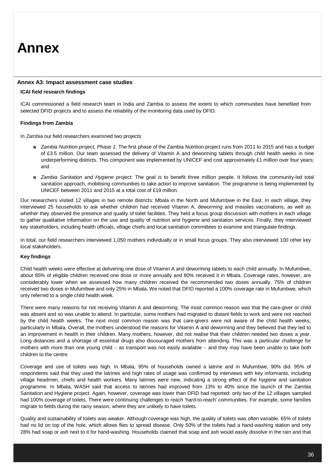#### **Annex A3: Impact assessment case studies**

#### **ICAI field research findings**

ICAI commissioned a field research team in India and Zambia to assess the extent to which communities have benefited from selected DFID projects and to assess the reliability of the monitoring data used by DFID.

#### **Findings from Zambia**

In Zambia our field researchers examined two projects:

- *Zambia Nutrition project, Phase 1*: The first phase of the Zambia Nutrition project runs from 2011 to 2015 and has a budget of £3.5 million. Our team assessed the delivery of Vitamin A and deworming tablets through child health weeks in nine underperforming districts. This component was implemented by UNICEF and cost approximately £1 million over four years; and
- *Zambia Sanitation and Hygiene project:* The goal is to benefit three million people. It follows the community-led total sanitation approach, mobilising communities to take action to improve sanitation. The programme is being implemented by UNICEF between 2011 and 2015 at a total cost of £19 million.

Our researchers visited 12 villages in two remote districts: Mbala in the North and Mufumbwe in the East. In each village, they interviewed 25 households to ask whether children had received Vitamin A, deworming and measles vaccinations, as well as whether they observed the presence and quality of toilet facilities. They held a focus group discussion with mothers in each village to gather qualitative information on the use and quality of nutrition and hygiene and sanitation services. Finally, they interviewed key stakeholders, including health officials, village chiefs and local sanitation committees to examine and triangulate findings.

In total, our field researchers interviewed 1,050 mothers individually or in small focus groups. They also interviewed 100 other key local stakeholders.

#### **Key findings**

Child health weeks were effective at delivering one dose of Vitamin A and deworming tablets to each child annually. In Mufumbwe, about 85% of eligible children received one dose or more annually and 80% received it in Mbala. Coverage rates, however, are considerably lower when we assessed how many children received the recommended two doses annually. 75% of children received two doses in Mufumbwe and only 25% in Mbala. We noted that DFID reported a 100% coverage rate in Mufumbwe, which only referred to a single child health week.

There were many reasons for not receiving Vitamin A and deworming. The most common reason was that the care-giver or child was absent and so was unable to attend. In particular, some mothers had migrated to distant fields to work and were not reached by the child health weeks. The next most common reason was that care-givers were not aware of the child health weeks, particularly in Mbala. Overall, the mothers understood the reasons for Vitamin A and deworming and they believed that they led to an improvement in health in their children. Many mothers, however, did not realise that their children needed two doses a year. Long distances and a shortage of essential drugs also discouraged mothers from attending. This was a particular challenge for mothers with more than one young child - as transport was not easily available - and they may have been unable to take both children to the centre.

Coverage and use of toilets was high. In Mbala, 95% of households owned a latrine and in Mufumbwe, 90% did. 95% of respondents said that they used the latrines and high rates of usage was confirmed by interviews with key informants, including village headmen, chiefs and health workers. Many latrines were new, indicating a strong effect of the hygiene and sanitation programme. In Mbala, WASH said that access to latrines had improved from 13% to 40% since the launch of the Zambia Sanitation and Hygiene project. Again, however, coverage was lower than DFID had reported: only two of the 12 villages sampled had 100% coverage of toilets. There were continuing challenges to reach 'hard-to-reach' communities. For example, some families migrate to fields during the rainy season, where they are unlikely to have toilets.

Quality and sustainability of toilets was weaker. Although coverage was high, the quality of toilets was often variable. 65% of toilets had no lid on top of the hole, which allows flies to spread disease. Only 50% of the toilets had a hand-washing station and only 28% had soap or ash next to it for hand-washing. Households claimed that soap and ash would easily dissolve in the rain and that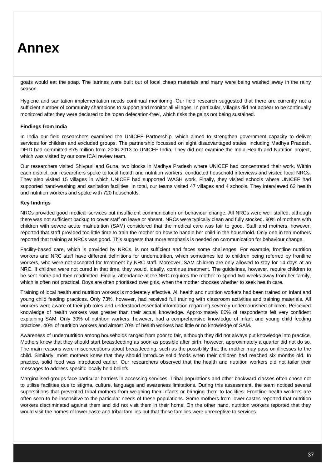goats would eat the soap. The latrines were built out of local cheap materials and many were being washed away in the rainy season.

Hygiene and sanitation implementation needs continual monitoring. Our field research suggested that there are currently not a sufficient number of community champions to support and monitor all villages. In particular, villages did not appear to be continually monitored after they were declared to be 'open defecation-free', which risks the gains not being sustained.

#### **Findings from India**

In India our field researchers examined the UNICEF Partnership, which aimed to strengthen government capacity to deliver services for children and excluded groups. The partnership focussed on eight disadvantaged states, including Madhya Pradesh. DFID had committed £75 million from 2006-2013 to UNICEF India. They did not examine the India Health and Nutrition project, which was visited by our core ICAI review team.

Our researchers visited Shivpuri and Guna, two blocks in Madhya Pradesh where UNICEF had concentrated their work. Within each district, our researchers spoke to local health and nutrition workers, conducted household interviews and visited local NRCs. They also visited 15 villages in which UNICEF had supported WASH work. Finally, they visited schools where UNICEF had supported hand-washing and sanitation facilities. In total, our teams visited 47 villages and 4 schools. They interviewed 62 health and nutrition workers and spoke with 720 households.

#### **Key findings**

NRCs provided good medical services but insufficient communication on behaviour change. All NRCs were well staffed, although there was not sufficient backup to cover staff on leave or absent. NRCs were typically clean and fully stocked. 90% of mothers with children with severe acute malnutrition (SAM) considered that the medical care was fair to good. Staff and mothers, however, reported that staff provided too little time to train the mother on how to handle her child in the household. Only one in ten mothers reported that training at NRCs was good. This suggests that more emphasis is needed on communication for behaviour change.

Facility-based care, which is provided by NRCs, is not sufficient and faces some challenges. For example, frontline nutrition workers and NRC staff have different definitions for undernutrition, which sometimes led to children being referred by frontline workers, who were not accepted for treatment by NRC staff. Moreover, SAM children are only allowed to stay for 14 days at an NRC. If children were not cured in that time, they would, ideally, continue treatment. The guidelines, however, require children to be sent home and then readmitted. Finally, attendance at the NRC requires the mother to spend two weeks away from her family, which is often not practical. Boys are often prioritised over girls, when the mother chooses whether to seek health care.

Training of local health and nutrition workers is moderately effective. All health and nutrition workers had been trained on infant and young child feeding practices. Only 73%, however, had received full training with classroom activities and training materials. All workers were aware of their job roles and understood essential information regarding severely undernourished children. Perceived knowledge of health workers was greater than their actual knowledge. Approximately 80% of respondents felt very confident explaining SAM. Only 30% of nutrition workers, however, had a comprehensive knowledge of infant and young child feeding practices. 40% of nutrition workers and almost 70% of health workers had little or no knowledge of SAM.

Awareness of undernutrition among households ranged from poor to fair, although they did not always put knowledge into practice. Mothers knew that they should start breastfeeding as soon as possible after birth; however, approximately a quarter did not do so. The main reasons were misconceptions about breastfeeding, such as the possibility that the mother may pass on illnesses to the child. Similarly, most mothers knew that they should introduce solid foods when their children had reached six months old. In practice, solid food was introduced earlier. Our researchers observed that the health and nutrition workers did not tailor their messages to address specific locally held beliefs.

Marginalised groups face particular barriers in accessing services. Tribal populations and other backward classes often chose not to utilise facilities due to stigma, culture, language and awareness limitations. During this assessment, the team noticed several superstitions that prevented tribal mothers from weighing their infants or bringing them to facilities. Frontline health workers are often seen to be insensitive to the particular needs of these populations. Some mothers from lower castes reported that nutrition workers discriminated against them and did not visit them in their home. On the other hand, nutrition workers reported that they would visit the homes of lower caste and tribal families but that these families were unreceptive to services.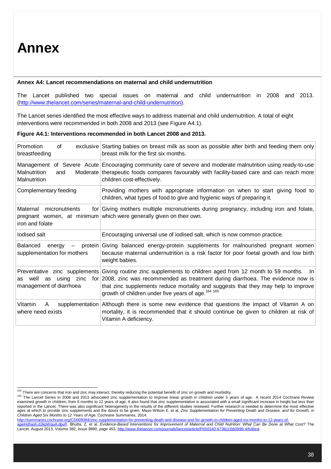### **Annex A4: Lancet recommendations on maternal and child undernutrition**

The Lancet published two special issues on maternal and child undernutrition in 2008 and 2013. (http://www.thelancet.com/series/maternal-and-child-undernutrition).

The Lancet series identified the most effective ways to address maternal and child undernutrition. A total of eight interventions were recommended in both 2008 and 2013 (see Figure A4.1).

| Promotion<br>οf<br>breastfeeding                         | exclusive Starting babies on breast milk as soon as possible after birth and feeding them only<br>breast milk for the first six months.                                                                                                                                                                                                                                     |
|----------------------------------------------------------|-----------------------------------------------------------------------------------------------------------------------------------------------------------------------------------------------------------------------------------------------------------------------------------------------------------------------------------------------------------------------------|
| Malnutrition<br>and<br>Malnutrition                      | Management of Severe Acute Encouraging community care of severe and moderate malnutrition using ready-to-use<br>Moderate therapeutic foods compares favourably with facility-based care and can reach more<br>children cost-effectively.                                                                                                                                    |
| Complementary feeding                                    | Providing mothers with appropriate information on when to start giving food to<br>children, what types of food to give and hygienic ways of preparing it.                                                                                                                                                                                                                   |
| Maternal micronutrients<br>iron and folate               | for Giving mothers multiple micronutrients during pregnancy, including iron and folate,<br>pregnant women, at minimum which were generally given on their own.                                                                                                                                                                                                              |
| lodised salt                                             | Encouraging universal use of iodised salt, which is now common practice.                                                                                                                                                                                                                                                                                                    |
| <b>Balanced</b><br>energy<br>supplementation for mothers | - protein Giving balanced energy-protein supplements for malnourished pregnant women<br>because maternal undernutrition is a risk factor for poor foetal growth and low birth<br>weight babies.                                                                                                                                                                             |
| well<br>as<br>as<br>management of diarrhoea              | Preventative zinc supplements Giving routine zinc supplements to children aged from 12 month to 59 months.<br>- In I<br>using zinc for 2008, zinc was recommended as treatment during diarrhoea. The evidence now is<br>that zinc supplements reduce mortality and suggests that they may help to improve<br>growth of children under five years of age. <sup>164 165</sup> |
| Vitamin<br>supplementation<br>A<br>where need exists     | Although there is some new evidence that questions the impact of Vitamin A on<br>mortality, it is recommended that it should continue be given to children at risk of<br>Vitamin A deficiency.                                                                                                                                                                              |

#### **Figure A4.1: Interventions recommended in both Lancet 2008 and 2013.**

 <sup>164</sup> There are concerns that iron and zinc may interact, thereby reducing the potential benefit of zinc on growth and morbidity.

<sup>165</sup> The Lancet Series in 2008 and 2013 advocated zinc supplementation to improve linear growth in children under 5 years of age. A recent 2014 Cochrane Review examined growth in children, from 6 months to 12 years of age. It also found that zinc supplementation is associated with a small significant increase in height but less than reported in the Lancet. There was also significant heterogeneity in the results of the different studies reviewed. Further research is needed to determine the most effective ages at which to provide zinc supplements and the doses to be given. Mayo-Wilson E. et al, *Zinc Supplementation for Preventing Death and Disease, and for Growth, in Children Aged Six Months to 12 Years of Age*, Cochrane Summaries, 2014.

<sup>&</sup>lt;u>http://summaries.cochrane.org/CD009384/zinc-supplementation-for-preventing-death-and-disease-and-for-growth-in-children-aged-six-months-to-12-years-of-<br>age#sthash.dJkpWquA.dpuf). Bhutta, Z. et al, *Evidence-B*ased *Interv</u>* Lancet, August 2013, Volume 382, Issue 9890, page 453, http://www.thelancet.com/journals/lancet/article/PIIS0140-6736(13)60996-4/fulltext.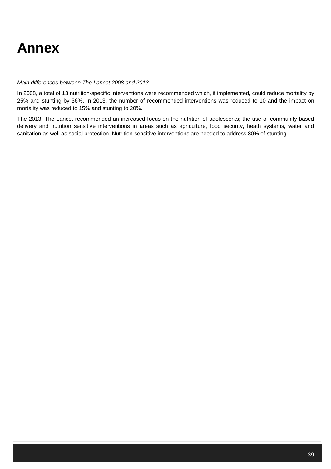*Main differences between The Lancet 2008 and 2013.*

In 2008, a total of 13 nutrition-specific interventions were recommended which, if implemented, could reduce mortality by 25% and stunting by 36%. In 2013, the number of recommended interventions was reduced to 10 and the impact on mortality was reduced to 15% and stunting to 20%.

The 2013, The Lancet recommended an increased focus on the nutrition of adolescents; the use of community-based delivery and nutrition sensitive interventions in areas such as agriculture, food security, heath systems, water and sanitation as well as social protection. Nutrition-sensitive interventions are needed to address 80% of stunting.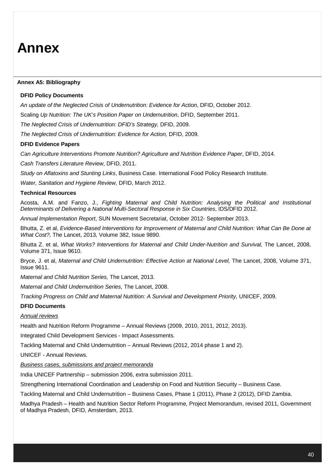### **Annex A5: Bibliography**

### **DFID Policy Documents**

*An update of the Neglected Crisis of Undernutrition: Evidence for Action*, DFID, October 2012.

Scaling *Up Nutrition: The UK's Position Paper on Undernutrition*, DFID, September 2011.

*The Neglected Crisis of Undernutrition: DFID's Strategy,* DFID, 2009.

*The Neglected Crisis of Undernutrition: Evidence for Action,* DFID, 2009.

#### **DFID Evidence Papers**

*Can Agriculture Interventions Promote Nutrition? Agriculture and Nutrition Evidence Paper*, DFID, 2014.

*Cash Transfers Literature Review*, DFID, 2011.

*Study on Aflatoxins and Stunting Links*, Business Case. International Food Policy Research Institute.

*Water, Sanitation and Hygiene Review,* DFID, March 2012.

### **Technical Resources**

Acosta, A.M. and Fanzo, J., *Fighting Maternal and Child Nutrition: Analysing the Political and Institutional Determinants of Delivering a National Multi-Sectoral Response in Six Countries*, IDS/DFID 2012.

*Annual Implementation Report*, SUN Movement Secretariat, October 2012- September 2013.

Bhutta, Z. et al, *Evidence-Based Interventions for Improvement of Maternal and Child Nutrition: What Can Be Done at What Cost?,* The Lancet, 2013, Volume 382, Issue 9890.

Bhutta Z. et al, *What Works? Interventions for Maternal and Child Under-Nutrition and Survival,* The Lancet, 2008, Volume 371, Issue 9610.

Bryce, J. et al, *Maternal and Child Undernutrition: Effective Action at National Level,* The Lancet, 2008, Volume 371, Issue 9611.

*Maternal and Child Nutrition Series,* The Lancet, 2013.

*Maternal and Child Undernutrition Series*, The Lancet, 2008.

*Tracking Progress on Child and Maternal Nutrition: A Survival and Development Priority,* UNICEF, 2009.

#### **DFID Documents**

### *Annual reviews*

Health and Nutrition Reform Programme – Annual Reviews (2009, 2010, 2011, 2012, 2013).

Integrated Child Development Services - Impact Assessments.

Tackling Maternal and Child Undernutrition – Annual Reviews (2012, 2014 phase 1 and 2).

UNICEF - Annual Reviews.

*Business cases, submissions and project memoranda*

India UNICEF Partnership – submission 2006, extra submission 2011.

Strengthening International Coordination and Leadership on Food and Nutrition Security – Business Case.

Tackling Maternal and Child Undernutrition – Business Cases, Phase 1 (2011), Phase 2 (2012), DFID Zambia.

Madhya Pradesh – Health and Nutrition Sector Reform Programme, Project Memorandum, revised 2011, Government of Madhya Pradesh, DFID, Amsterdam, 2013.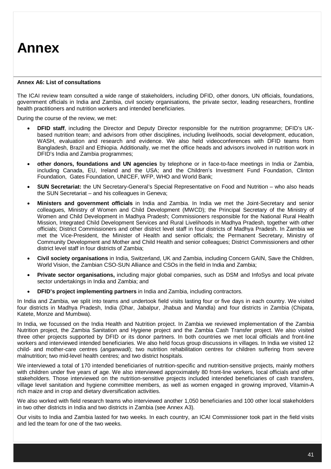#### **Annex A6: List of consultations**

The ICAI review team consulted a wide range of stakeholders, including DFID, other donors, UN officials, foundations, government officials in India and Zambia, civil society organisations, the private sector, leading researchers, frontline health practitioners and nutrition workers and intended beneficiaries.

During the course of the review, we met:

- **DFID staff**, including the Director and Deputy Director responsible for the nutrition programme; DFID's UKbased nutrition team; and advisors from other disciplines, including livelihoods, social development, education, WASH, evaluation and research and evidence. We also held videoconferences with DFID teams from Bangladesh, Brazil and Ethiopia. Additionally, we met the office heads and advisors involved in nutrition work in DFID's India and Zambia programmes;
- **other donors, foundations and UN agencies** by telephone or in face-to-face meetings in India or Zambia, including Canada, EU, Ireland and the USA; and the Children's Investment Fund Foundation, Clinton Foundation, Gates Foundation, UNICEF, WFP, WHO and World Bank;
- **SUN Secretariat:** the UN Secretary-General's Special Representative on Food and Nutrition who also heads the SUN Secretariat – and his colleagues in Geneva;
- **Ministers and government officials** in India and Zambia. In India we met the Joint-Secretary and senior colleagues, Ministry of Women and Child Development (MWCD); the Principal Secretary of the Ministry of Women and Child Development in Madhya Pradesh; Commissioners responsible for the National Rural Health Mission, Integrated Child Development Services and Rural Livelihoods in Madhya Pradesh, together with other officials; District Commissioners and other district level staff in four districts of Madhya Pradesh. In Zambia we met the Vice-President, the Minister of Health and senior officials; the Permanent Secretary, Ministry of Community Development and Mother and Child Health and senior colleagues; District Commissioners and other district level staff in four districts of Zambia;
- **Civil society organisations** in India, Switzerland, UK and Zambia, including Concern GAIN, Save the Children, World Vision, the Zambian CSO-SUN Alliance and CSOs in the field in India and Zambia;
- **Private sector organisations,** including major global companies, such as DSM and InfoSys and local private sector undertakings in India and Zambia; and
- **DFID's project implementing partners** in India and Zambia, including contractors.

In India and Zambia, we split into teams and undertook field visits lasting four or five days in each country. We visited four districts in Madhya Pradesh, India (Dhar, Jabalpur, Jhabua and Mandla) and four districts in Zambia (Chipata, Katete, Monze and Mumbwa).

In India, we focussed on the India Health and Nutrition project. In Zambia we reviewed implementation of the Zambia Nutrition project, the Zambia Sanitation and Hygiene project and the Zambia Cash Transfer project. We also visited three other projects supported by DFID or its donor partners. In both countries we met local officials and front-line workers and interviewed intended beneficiaries. We also held focus group discussions in villages. In India we visited 12 child- and mother-care centres (*anganwadi*); two nutrition rehabilitation centres for children suffering from severe malnutrition; two mid-level health centres; and two district hospitals.

We interviewed a total of 170 intended beneficiaries of nutrition-specific and nutrition-sensitive projects, mainly mothers with children under five years of age. We also interviewed approximately 80 front-line workers, local officials and other stakeholders. Those interviewed on the nutrition-sensitive projects included intended beneficiaries of cash transfers, village level sanitation and hygiene committee members, as well as women engaged in growing improved, Vitamin-A rich maize and in crop and dietary diversification activities.

We also worked with field research teams who interviewed another 1,050 beneficiaries and 100 other local stakeholders in two other districts in India and two districts in Zambia (see Annex A3).

Our visits to India and Zambia lasted for two weeks. In each country, an ICAI Commissioner took part in the field visits and led the team for one of the two weeks.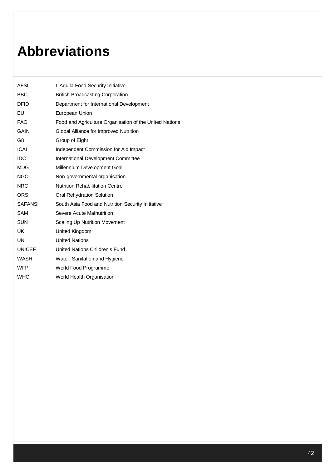## **Abbreviations**

| L'Aquila Food Security Initiative                       |
|---------------------------------------------------------|
| <b>British Broadcasting Corporation</b>                 |
| Department for International Development                |
| European Union                                          |
| Food and Agriculture Organisation of the United Nations |
| Global Alliance for Improved Nutrition                  |
| Group of Eight                                          |
| Independent Commission for Aid Impact                   |
| International Development Committee                     |
| Millennium Development Goal                             |
| Non-governmental organisation                           |
| <b>Nutrition Rehabilitation Centre</b>                  |
| Oral Rehydration Solution                               |
| South Asia Food and Nutrition Security Initiative       |
| Severe Acute Malnutrition                               |
| <b>Scaling Up Nutrition Movement</b>                    |
| United Kingdom                                          |
| <b>United Nations</b>                                   |
| United Nations Children's Fund                          |
| Water, Sanitation and Hygiene                           |
| World Food Programme                                    |
| World Health Organisation                               |
|                                                         |